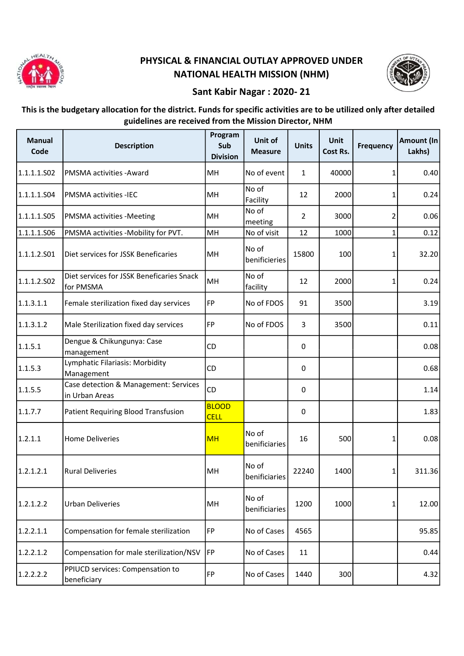

## PHYSICAL & FINANCIAL OUTLAY APPROVED UNDER NATIONAL HEALTH MISSION (NHM)



## Sant Kabir Nagar : 2020- 21

This is the budgetary allocation for the district. Funds for specific activities are to be utilized only after detailed guidelines are received from the Mission Director, NHM

| <b>Manual</b><br>Code | <b>Description</b>                                      | Program<br>Sub<br><b>Division</b> | Unit of<br><b>Measure</b> | <b>Units</b>   | <b>Unit</b><br>Cost Rs. | <b>Frequency</b> | <b>Amount (In</b><br>Lakhs) |
|-----------------------|---------------------------------------------------------|-----------------------------------|---------------------------|----------------|-------------------------|------------------|-----------------------------|
| 1.1.1.1.502           | PMSMA activities - Award                                | MH                                | No of event               | $\mathbf{1}$   | 40000                   | 1                | 0.40                        |
| 1.1.1.1.S04           | PMSMA activities -IEC                                   | MH                                | No of<br>Facility         | 12             | 2000                    | 1                | 0.24                        |
| 1.1.1.1.505           | PMSMA activities - Meeting                              | MH                                | No of<br>meeting          | $\overline{2}$ | 3000                    | 2                | 0.06                        |
| 1.1.1.1.506           | PMSMA activities -Mobility for PVT.                     | MH                                | No of visit               | 12             | 1000                    | $\mathbf{1}$     | 0.12                        |
| 1.1.1.2.501           | Diet services for JSSK Beneficaries                     | MH                                | No of<br>benificieries    | 15800          | 100                     | 1                | 32.20                       |
| 1.1.1.2.502           | Diet services for JSSK Beneficaries Snack<br>for PMSMA  | MH                                | No of<br>facility         | 12             | 2000                    | 1                | 0.24                        |
| 1.1.3.1.1             | Female sterilization fixed day services                 | FP                                | No of FDOS                | 91             | 3500                    |                  | 3.19                        |
| 1.1.3.1.2             | Male Sterilization fixed day services                   | FP                                | No of FDOS                | 3              | 3500                    |                  | 0.11                        |
| 1.1.5.1               | Dengue & Chikungunya: Case<br>management                | CD                                |                           | $\mathbf 0$    |                         |                  | 0.08                        |
| 1.1.5.3               | Lymphatic Filariasis: Morbidity<br>Management           | CD                                |                           | 0              |                         |                  | 0.68                        |
| 1.1.5.5               | Case detection & Management: Services<br>in Urban Areas | CD                                |                           | 0              |                         |                  | 1.14                        |
| 1.1.7.7               | Patient Requiring Blood Transfusion                     | <b>BLOOD</b><br><b>CELL</b>       |                           | 0              |                         |                  | 1.83                        |
| 1.2.1.1               | <b>Home Deliveries</b>                                  | <b>MH</b>                         | No of<br>benificiaries    | 16             | 500                     | 1                | 0.08                        |
| 1.2.1.2.1             | <b>Rural Deliveries</b>                                 | MH                                | No of<br>benificiaries    | 22240          | 1400                    | 1                | 311.36                      |
| 1.2.1.2.2             | <b>Urban Deliveries</b>                                 | MH                                | No of<br>benificiaries    | 1200           | 1000                    | 1                | 12.00                       |
| 1.2.2.1.1             | Compensation for female sterilization                   | <b>FP</b>                         | No of Cases               | 4565           |                         |                  | 95.85                       |
| 1.2.2.1.2             | Compensation for male sterilization/NSV                 | FP                                | No of Cases               | 11             |                         |                  | 0.44                        |
| 1.2.2.2.2             | PPIUCD services: Compensation to<br>beneficiary         | <b>FP</b>                         | No of Cases               | 1440           | 300                     |                  | 4.32                        |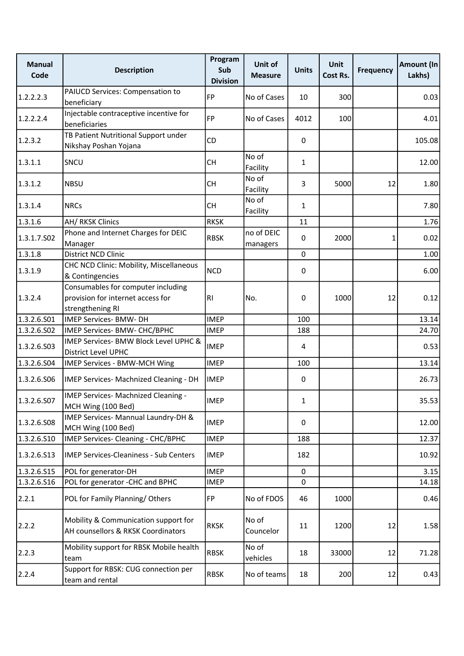| <b>Manual</b><br>Code | <b>Description</b>                                                                          | Program<br>Sub<br><b>Division</b> | Unit of<br><b>Measure</b> | <b>Units</b>   | <b>Unit</b><br>Cost Rs. | <b>Frequency</b> | Amount (In<br>Lakhs) |
|-----------------------|---------------------------------------------------------------------------------------------|-----------------------------------|---------------------------|----------------|-------------------------|------------------|----------------------|
| 1.2.2.2.3             | PAIUCD Services: Compensation to<br>beneficiary                                             | <b>FP</b>                         | No of Cases               | 10             | 300                     |                  | 0.03                 |
| 1.2.2.2.4             | Injectable contraceptive incentive for<br>beneficiaries                                     | <b>FP</b>                         | No of Cases               | 4012           | 100                     |                  | 4.01                 |
| 1.2.3.2               | TB Patient Nutritional Support under<br>Nikshay Poshan Yojana                               | CD                                |                           | $\mathbf 0$    |                         |                  | 105.08               |
| 1.3.1.1               | SNCU                                                                                        | <b>CH</b>                         | No of<br>Facility         | $\mathbf{1}$   |                         |                  | 12.00                |
| 1.3.1.2               | <b>NBSU</b>                                                                                 | <b>CH</b>                         | No of<br>Facility         | 3              | 5000                    | 12               | 1.80                 |
| 1.3.1.4               | <b>NRCs</b>                                                                                 | <b>CH</b>                         | No of<br>Facility         | $\mathbf{1}$   |                         |                  | 7.80                 |
| 1.3.1.6               | <b>AH/ RKSK Clinics</b>                                                                     | <b>RKSK</b>                       |                           | 11             |                         |                  | 1.76                 |
| 1.3.1.7.502           | Phone and Internet Charges for DEIC<br>Manager                                              | <b>RBSK</b>                       | no of DEIC<br>managers    | 0              | 2000                    | 1                | 0.02                 |
| 1.3.1.8               | District NCD Clinic                                                                         |                                   |                           | 0              |                         |                  | 1.00                 |
| 1.3.1.9               | CHC NCD Clinic: Mobility, Miscellaneous<br>& Contingencies                                  | <b>NCD</b>                        |                           | 0              |                         |                  | 6.00                 |
| 1.3.2.4               | Consumables for computer including<br>provision for internet access for<br>strengthening RI | R <sub>1</sub>                    | No.                       | 0              | 1000                    | 12               | 0.12                 |
| 1.3.2.6.501           | IMEP Services- BMW- DH                                                                      | <b>IMEP</b>                       |                           | 100            |                         |                  | 13.14                |
| 1.3.2.6.502           | IMEP Services- BMW- CHC/BPHC                                                                | <b>IMEP</b>                       |                           | 188            |                         |                  | 24.70                |
| 1.3.2.6.503           | IMEP Services- BMW Block Level UPHC &<br>District Level UPHC                                | <b>IMEP</b>                       |                           | $\overline{4}$ |                         |                  | 0.53                 |
| 1.3.2.6.S04           | IMEP Services - BMW-MCH Wing                                                                | <b>IMEP</b>                       |                           | 100            |                         |                  | 13.14                |
| 1.3.2.6.506           | IMEP Services- Machnized Cleaning - DH                                                      | <b>IMEP</b>                       |                           | 0              |                         |                  | 26.73                |
| 1.3.2.6.S07           | IMEP Services- Machnized Cleaning -<br>MCH Wing (100 Bed)                                   | <b>IMEP</b>                       |                           | 1              |                         |                  | 35.53                |
| 1.3.2.6.508           | IMEP Services- Mannual Laundry-DH &<br>MCH Wing (100 Bed)                                   | <b>IMEP</b>                       |                           | 0              |                         |                  | 12.00                |
| 1.3.2.6.510           | IMEP Services- Cleaning - CHC/BPHC                                                          | <b>IMEP</b>                       |                           | 188            |                         |                  | 12.37                |
| 1.3.2.6.513           | <b>IMEP Services-Cleaniness - Sub Centers</b>                                               | <b>IMEP</b>                       |                           | 182            |                         |                  | 10.92                |
| 1.3.2.6.S15           | POL for generator-DH                                                                        | <b>IMEP</b>                       |                           | $\mathbf{0}$   |                         |                  | 3.15                 |
| 1.3.2.6.S16           | POL for generator -CHC and BPHC                                                             | <b>IMEP</b>                       |                           | 0              |                         |                  | 14.18                |
| 2.2.1                 | POL for Family Planning/Others                                                              | FP                                | No of FDOS                | 46             | 1000                    |                  | 0.46                 |
| 2.2.2                 | Mobility & Communication support for<br>AH counsellors & RKSK Coordinators                  | <b>RKSK</b>                       | No of<br>Councelor        | 11             | 1200                    | 12               | 1.58                 |
| 2.2.3                 | Mobility support for RBSK Mobile health<br>team                                             | <b>RBSK</b>                       | No of<br>vehicles         | 18             | 33000                   | 12               | 71.28                |
| 2.2.4                 | Support for RBSK: CUG connection per<br>team and rental                                     | <b>RBSK</b>                       | No of teams               | 18             | 200                     | 12               | 0.43                 |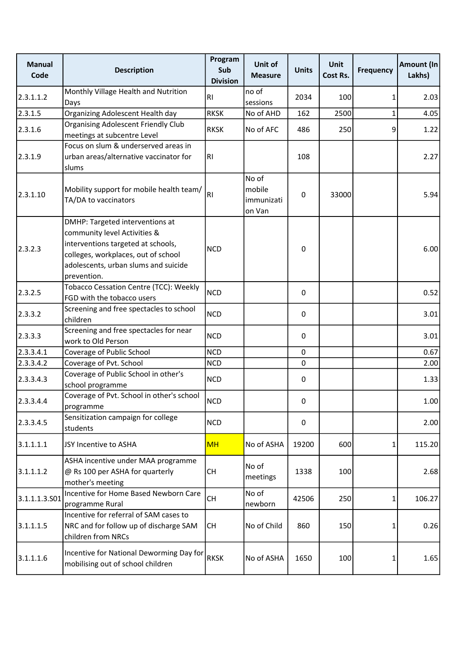| <b>Manual</b><br>Code | <b>Description</b>                                                                                                                                                                                  | Program<br>Sub<br><b>Division</b> | Unit of<br><b>Measure</b>               | <b>Units</b>     | <b>Unit</b><br>Cost Rs. | <b>Frequency</b> | Amount (In<br>Lakhs) |
|-----------------------|-----------------------------------------------------------------------------------------------------------------------------------------------------------------------------------------------------|-----------------------------------|-----------------------------------------|------------------|-------------------------|------------------|----------------------|
| 2.3.1.1.2             | Monthly Village Health and Nutrition<br>Days                                                                                                                                                        | R <sub>l</sub>                    | no of<br>sessions                       | 2034             | 100                     | 1                | 2.03                 |
| 2.3.1.5               | Organizing Adolescent Health day                                                                                                                                                                    | <b>RKSK</b>                       | No of AHD                               | 162              | 2500                    | $\mathbf{1}$     | 4.05                 |
| 2.3.1.6               | <b>Organising Adolescent Friendly Club</b><br>meetings at subcentre Level                                                                                                                           | <b>RKSK</b>                       | No of AFC                               | 486              | 250                     | 9                | 1.22                 |
| 2.3.1.9               | Focus on slum & underserved areas in<br>urban areas/alternative vaccinator for<br>slums                                                                                                             | R <sub>1</sub>                    |                                         | 108              |                         |                  | 2.27                 |
| 2.3.1.10              | Mobility support for mobile health team/<br>TA/DA to vaccinators                                                                                                                                    | R <sub>l</sub>                    | No of<br>mobile<br>immunizati<br>on Van | 0                | 33000                   |                  | 5.94                 |
| 2.3.2.3               | DMHP: Targeted interventions at<br>community level Activities &<br>interventions targeted at schools,<br>colleges, workplaces, out of school<br>adolescents, urban slums and suicide<br>prevention. | <b>NCD</b>                        |                                         | 0                |                         |                  | 6.00                 |
| 2.3.2.5               | Tobacco Cessation Centre (TCC): Weekly<br>FGD with the tobacco users                                                                                                                                | <b>NCD</b>                        |                                         | 0                |                         |                  | 0.52                 |
| 2.3.3.2               | Screening and free spectacles to school<br>children                                                                                                                                                 | <b>NCD</b>                        |                                         | $\boldsymbol{0}$ |                         |                  | 3.01                 |
| 2.3.3.3               | Screening and free spectacles for near<br>work to Old Person                                                                                                                                        | <b>NCD</b>                        |                                         | $\mathbf 0$      |                         |                  | 3.01                 |
| 2.3.3.4.1             | Coverage of Public School                                                                                                                                                                           | <b>NCD</b>                        |                                         | $\mathbf 0$      |                         |                  | 0.67                 |
| 2.3.3.4.2             | Coverage of Pvt. School                                                                                                                                                                             | <b>NCD</b>                        |                                         | $\mathbf 0$      |                         |                  | 2.00                 |
| 2.3.3.4.3             | Coverage of Public School in other's<br>school programme                                                                                                                                            | <b>NCD</b>                        |                                         | 0                |                         |                  | 1.33                 |
| 2.3.3.4.4             | Coverage of Pvt. School in other's school<br>programme                                                                                                                                              | <b>NCD</b>                        |                                         | 0                |                         |                  | 1.00                 |
| 2.3.3.4.5             | Sensitization campaign for college<br>students                                                                                                                                                      | <b>NCD</b>                        |                                         | 0                |                         |                  | 2.00                 |
| 3.1.1.1.1             | JSY Incentive to ASHA                                                                                                                                                                               | <b>MH</b>                         | No of ASHA                              | 19200            | 600                     | 1                | 115.20               |
| 3.1.1.1.2             | ASHA incentive under MAA programme<br>@ Rs 100 per ASHA for quarterly<br>mother's meeting                                                                                                           | CH                                | No of<br>meetings                       | 1338             | 100                     |                  | 2.68                 |
| 3.1.1.1.3.501         | Incentive for Home Based Newborn Care<br>programme Rural                                                                                                                                            | <b>CH</b>                         | No of<br>newborn                        | 42506            | 250                     | 1                | 106.27               |
| 3.1.1.1.5             | Incentive for referral of SAM cases to<br>NRC and for follow up of discharge SAM<br>children from NRCs                                                                                              | <b>CH</b>                         | No of Child                             | 860              | 150                     | 1                | 0.26                 |
| 3.1.1.1.6             | Incentive for National Deworming Day for<br>mobilising out of school children                                                                                                                       | <b>RKSK</b>                       | No of ASHA                              | 1650             | 100                     | 1                | 1.65                 |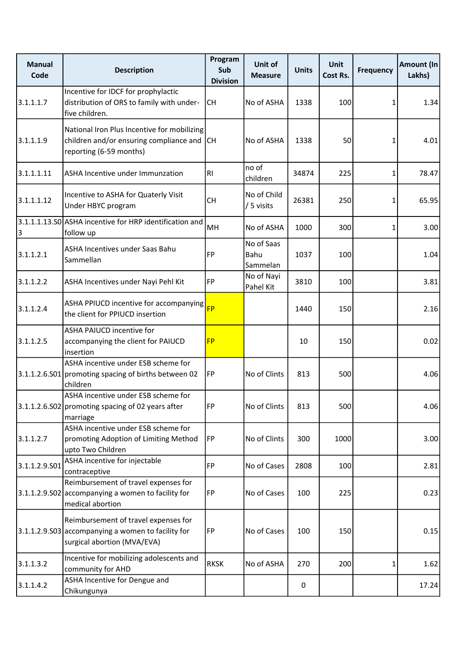| <b>Manual</b><br>Code | <b>Description</b>                                                                                                        | Program<br>Sub<br><b>Division</b> | Unit of<br><b>Measure</b>      | <b>Units</b>     | <b>Unit</b><br>Cost Rs. | <b>Frequency</b> | Amount (In<br>Lakhs) |
|-----------------------|---------------------------------------------------------------------------------------------------------------------------|-----------------------------------|--------------------------------|------------------|-------------------------|------------------|----------------------|
| 3.1.1.1.7             | Incentive for IDCF for prophylactic<br>distribution of ORS to family with under-<br>five children.                        | <b>CH</b>                         | No of ASHA                     | 1338             | 100                     | 1                | 1.34                 |
| 3.1.1.1.9             | National Iron Plus Incentive for mobilizing<br>children and/or ensuring compliance and CH<br>reporting (6-59 months)      |                                   | No of ASHA                     | 1338             | 50                      | 1                | 4.01                 |
| 3.1.1.1.11            | ASHA Incentive under Immunzation                                                                                          | RI                                | no of<br>children              | 34874            | 225                     | 1                | 78.47                |
| 3.1.1.1.12            | Incentive to ASHA for Quaterly Visit<br>Under HBYC program                                                                | <b>CH</b>                         | No of Child<br>/ 5 visits      | 26381            | 250                     | 1                | 65.95                |
| 3                     | 3.1.1.1.13.S0 ASHA incentive for HRP identification and<br>follow up                                                      | MH                                | No of ASHA                     | 1000             | 300                     | 1                | 3.00                 |
| 3.1.1.2.1             | ASHA Incentives under Saas Bahu<br>Sammellan                                                                              | FP                                | No of Saas<br>Bahu<br>Sammelan | 1037             | 100                     |                  | 1.04                 |
| 3.1.1.2.2             | ASHA Incentives under Nayi Pehl Kit                                                                                       | FP                                | No of Nayi<br>Pahel Kit        | 3810             | 100                     |                  | 3.81                 |
| 3.1.1.2.4             | ASHA PPIUCD incentive for accompanying<br>the client for PPIUCD insertion                                                 | <b>FP</b>                         |                                | 1440             | 150                     |                  | 2.16                 |
| 3.1.1.2.5             | ASHA PAIUCD incentive for<br>accompanying the client for PAIUCD<br>insertion                                              | <b>FP</b>                         |                                | 10               | 150                     |                  | 0.02                 |
|                       | ASHA incentive under ESB scheme for<br>$3.1.1.2.6.501$ promoting spacing of births between 02<br>children                 | FP                                | No of Clints                   | 813              | 500                     |                  | 4.06                 |
|                       | ASHA incentive under ESB scheme for<br>3.1.1.2.6.S02 promoting spacing of 02 years after<br>marriage                      | <b>FP</b>                         | No of Clints                   | 813              | 500                     |                  | 4.06                 |
| 3.1.1.2.7             | ASHA incentive under ESB scheme for<br>promoting Adoption of Limiting Method<br>upto Two Children                         | FP                                | No of Clints                   | 300              | 1000                    |                  | 3.00                 |
| 3.1.1.2.9.501         | ASHA incentive for injectable<br>contraceptive                                                                            | FP                                | No of Cases                    | 2808             | 100                     |                  | 2.81                 |
|                       | Reimbursement of travel expenses for<br>$3.1.1.2.9.502$ accompanying a women to facility for<br>medical abortion          | FP                                | No of Cases                    | 100              | 225                     |                  | 0.23                 |
|                       | Reimbursement of travel expenses for<br>3.1.1.2.9.503 accompanying a women to facility for<br>surgical abortion (MVA/EVA) | FP                                | No of Cases                    | 100              | 150                     |                  | 0.15                 |
| 3.1.1.3.2             | Incentive for mobilizing adolescents and<br>community for AHD                                                             | <b>RKSK</b>                       | No of ASHA                     | 270              | 200                     | 1                | 1.62                 |
| 3.1.1.4.2             | ASHA Incentive for Dengue and<br>Chikungunya                                                                              |                                   |                                | $\boldsymbol{0}$ |                         |                  | 17.24                |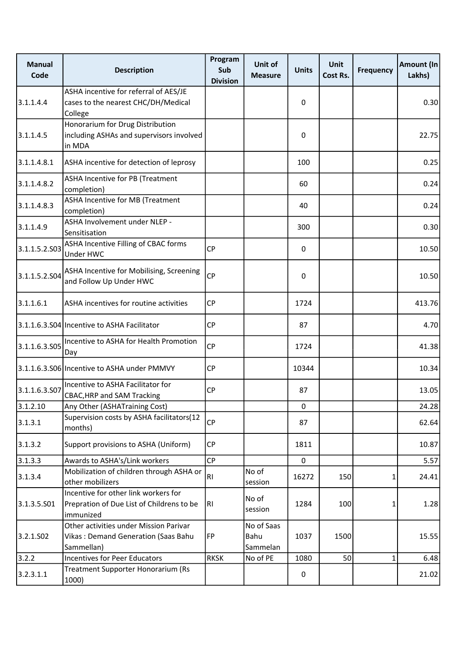| <b>Manual</b><br>Code | <b>Description</b>                                                                             | Program<br>Sub<br><b>Division</b> | Unit of<br><b>Measure</b>      | <b>Units</b> | <b>Unit</b><br>Cost Rs. | <b>Frequency</b> | Amount (In<br>Lakhs) |
|-----------------------|------------------------------------------------------------------------------------------------|-----------------------------------|--------------------------------|--------------|-------------------------|------------------|----------------------|
| 3.1.1.4.4             | ASHA incentive for referral of AES/JE<br>cases to the nearest CHC/DH/Medical<br>College        |                                   |                                | 0            |                         |                  | 0.30                 |
| 3.1.1.4.5             | Honorarium for Drug Distribution<br>including ASHAs and supervisors involved<br>in MDA         |                                   |                                | 0            |                         |                  | 22.75                |
| 3.1.1.4.8.1           | ASHA incentive for detection of leprosy                                                        |                                   |                                | 100          |                         |                  | 0.25                 |
| 3.1.1.4.8.2           | ASHA Incentive for PB (Treatment<br>completion)                                                |                                   |                                | 60           |                         |                  | 0.24                 |
| 3.1.1.4.8.3           | ASHA Incentive for MB (Treatment<br>completion)                                                |                                   |                                | 40           |                         |                  | 0.24                 |
| 3.1.1.4.9             | ASHA Involvement under NLEP -<br>Sensitisation                                                 |                                   |                                | 300          |                         |                  | 0.30                 |
| 3.1.1.5.2.S03         | ASHA Incentive Filling of CBAC forms<br>Under HWC                                              | <b>CP</b>                         |                                | 0            |                         |                  | 10.50                |
| 3.1.1.5.2.S04         | ASHA Incentive for Mobilising, Screening<br>and Follow Up Under HWC                            | <b>CP</b>                         |                                | 0            |                         |                  | 10.50                |
| 3.1.1.6.1             | ASHA incentives for routine activities                                                         | <b>CP</b>                         |                                | 1724         |                         |                  | 413.76               |
|                       | 3.1.1.6.3.S04 Incentive to ASHA Facilitator                                                    | <b>CP</b>                         |                                | 87           |                         |                  | 4.70                 |
| 3.1.1.6.3.S05         | Incentive to ASHA for Health Promotion<br>Day                                                  | <b>CP</b>                         |                                | 1724         |                         |                  | 41.38                |
|                       | 3.1.1.6.3.S06 Incentive to ASHA under PMMVY                                                    | <b>CP</b>                         |                                | 10344        |                         |                  | 10.34                |
| 3.1.1.6.3.507         | Incentive to ASHA Facilitator for<br><b>CBAC, HRP and SAM Tracking</b>                         | <b>CP</b>                         |                                | 87           |                         |                  | 13.05                |
| 3.1.2.10              | Any Other (ASHATraining Cost)                                                                  |                                   |                                | $\mathbf{0}$ |                         |                  | 24.28                |
| 3.1.3.1               | Supervision costs by ASHA facilitators(12<br>months)                                           | <b>CP</b>                         |                                | 87           |                         |                  | 62.64                |
| 3.1.3.2               | Support provisions to ASHA (Uniform)                                                           | <b>CP</b>                         |                                | 1811         |                         |                  | 10.87                |
| 3.1.3.3               | Awards to ASHA's/Link workers                                                                  | <b>CP</b>                         |                                | 0            |                         |                  | 5.57                 |
| 3.1.3.4               | Mobilization of children through ASHA or<br>other mobilizers                                   | R <sub>1</sub>                    | No of<br>session               | 16272        | 150                     | 1                | 24.41                |
| 3.1.3.5.501           | Incentive for other link workers for<br>Prepration of Due List of Childrens to be<br>immunized | R                                 | No of<br>session               | 1284         | 100                     | 1                | 1.28                 |
| 3.2.1.502             | Other activities under Mission Parivar<br>Vikas: Demand Generation (Saas Bahu<br>Sammellan)    | FP                                | No of Saas<br>Bahu<br>Sammelan | 1037         | 1500                    |                  | 15.55                |
| 3.2.2                 | <b>Incentives for Peer Educators</b>                                                           | <b>RKSK</b>                       | No of PE                       | 1080         | 50                      | 1                | 6.48                 |
| 3.2.3.1.1             | Treatment Supporter Honorarium (Rs<br>1000)                                                    |                                   |                                | 0            |                         |                  | 21.02                |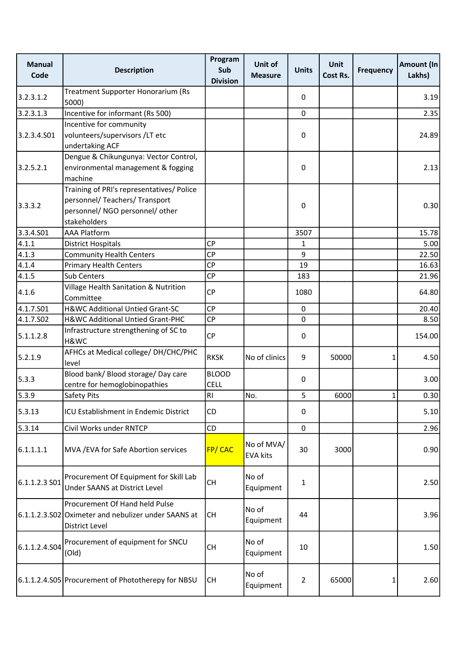| <b>Manual</b><br>Code | <b>Description</b>                                                                                                             | Program<br>Sub<br><b>Division</b> | Unit of<br><b>Measure</b>     | <b>Units</b>   | <b>Unit</b><br>Cost Rs. | <b>Frequency</b> | Amount (In<br>Lakhs) |
|-----------------------|--------------------------------------------------------------------------------------------------------------------------------|-----------------------------------|-------------------------------|----------------|-------------------------|------------------|----------------------|
| 3.2.3.1.2             | Treatment Supporter Honorarium (Rs<br>5000)                                                                                    |                                   |                               | 0              |                         |                  | 3.19                 |
| 3.2.3.1.3             | Incentive for informant (Rs 500)                                                                                               |                                   |                               | $\pmb{0}$      |                         |                  | 2.35                 |
|                       | Incentive for community                                                                                                        |                                   |                               |                |                         |                  |                      |
| 3.2.3.4.501           | volunteers/supervisors /LT etc<br>undertaking ACF                                                                              |                                   |                               | 0              |                         |                  | 24.89                |
| 3.2.5.2.1             | Dengue & Chikungunya: Vector Control,<br>environmental management & fogging<br>machine                                         |                                   |                               | 0              |                         |                  | 2.13                 |
| 3.3.3.2               | Training of PRI's representatives/ Police<br>personnel/ Teachers/ Transport<br>personnel/ NGO personnel/ other<br>stakeholders |                                   |                               | 0              |                         |                  | 0.30                 |
| 3.3.4.501             | <b>AAA Platform</b>                                                                                                            |                                   |                               | 3507           |                         |                  | 15.78                |
| 4.1.1                 | <b>District Hospitals</b>                                                                                                      | <b>CP</b>                         |                               | 1              |                         |                  | 5.00                 |
| 4.1.3                 | <b>Community Health Centers</b>                                                                                                | <b>CP</b>                         |                               | 9              |                         |                  | 22.50                |
| 4.1.4                 | <b>Primary Health Centers</b>                                                                                                  | CP                                |                               | 19             |                         |                  | 16.63                |
| 4.1.5                 | <b>Sub Centers</b>                                                                                                             | <b>CP</b>                         |                               | 183            |                         |                  | 21.96                |
| 4.1.6                 | Village Health Sanitation & Nutrition<br>Committee                                                                             | <b>CP</b>                         |                               | 1080           |                         |                  | 64.80                |
| 4.1.7.501             | H&WC Additional Untied Grant-SC                                                                                                | <b>CP</b>                         |                               | $\mathbf 0$    |                         |                  | 20.40                |
| 4.1.7.S02             | H&WC Additional Untied Grant-PHC                                                                                               | <b>CP</b>                         |                               | $\pmb{0}$      |                         |                  | 8.50                 |
| 5.1.1.2.8             | Infrastructure strengthening of SC to<br>H&WC                                                                                  | <b>CP</b>                         |                               | 0              |                         |                  | 154.00               |
| 5.2.1.9               | AFHCs at Medical college/ DH/CHC/PHC<br>level                                                                                  | <b>RKSK</b>                       | No of clinics                 | 9              | 50000                   | 1                | 4.50                 |
| 5.3.3                 | Blood bank/ Blood storage/ Day care<br>centre for hemoglobinopathies                                                           | <b>BLOOD</b><br><b>CELL</b>       |                               | 0              |                         |                  | 3.00                 |
| 5.3.9                 | Safety Pits                                                                                                                    | RI                                | No.                           | 5              | 6000                    | 1                | 0.30                 |
| 5.3.13                | ICU Establishment in Endemic District                                                                                          | CD                                |                               | 0              |                         |                  | 5.10                 |
| 5.3.14                | Civil Works under RNTCP                                                                                                        | CD                                |                               | 0              |                         |                  | 2.96                 |
| 6.1.1.1.1             | MVA / EVA for Safe Abortion services                                                                                           | FP/CAC                            | No of MVA/<br><b>EVA kits</b> | 30             | 3000                    |                  | 0.90                 |
| $6.1.1.2.3S$ 01       | Procurement Of Equipment for Skill Lab<br>Under SAANS at District Level                                                        | <b>CH</b>                         | No of<br>Equipment            | $\mathbf{1}$   |                         |                  | 2.50                 |
|                       | Procurement Of Hand held Pulse<br>6.1.1.2.3.S02 Oximeter and nebulizer under SAANS at<br><b>District Level</b>                 | <b>CH</b>                         | No of<br>Equipment            | 44             |                         |                  | 3.96                 |
| 6.1.1.2.4.504         | Procurement of equipment for SNCU<br>(Old)                                                                                     | <b>CH</b>                         | No of<br>Equipment            | 10             |                         |                  | 1.50                 |
|                       | 6.1.1.2.4.S05 Procurement of Phototherepy for NBSU                                                                             | <b>CH</b>                         | No of<br>Equipment            | $\overline{2}$ | 65000                   | 1                | 2.60                 |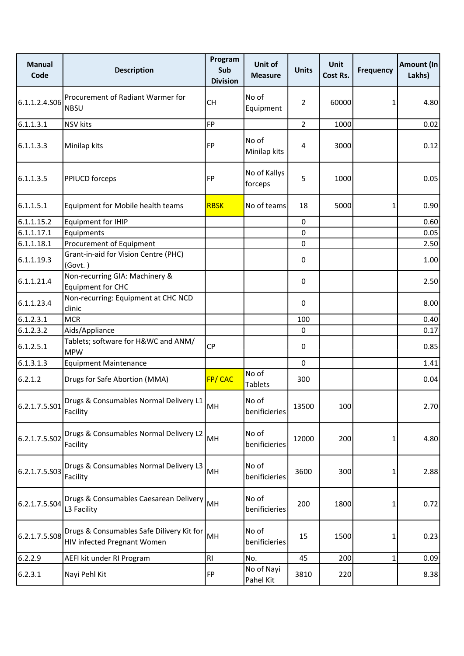| <b>Manual</b><br>Code | <b>Description</b>                                                              | Program<br>Sub<br><b>Division</b> | Unit of<br><b>Measure</b> | <b>Units</b>   | <b>Unit</b><br>Cost Rs. | <b>Frequency</b> | Amount (In<br>Lakhs) |
|-----------------------|---------------------------------------------------------------------------------|-----------------------------------|---------------------------|----------------|-------------------------|------------------|----------------------|
| 6.1.1.2.4.506         | Procurement of Radiant Warmer for<br><b>NBSU</b>                                | <b>CH</b>                         | No of<br>Equipment        | $\overline{2}$ | 60000                   | 1                | 4.80                 |
| 6.1.1.3.1             | <b>NSV</b> kits                                                                 | <b>FP</b>                         |                           | $\overline{2}$ | 1000                    |                  | 0.02                 |
| 6.1.1.3.3             | Minilap kits                                                                    | <b>FP</b>                         | No of<br>Minilap kits     | 4              | 3000                    |                  | 0.12                 |
| 6.1.1.3.5             | <b>PPIUCD forceps</b>                                                           | <b>FP</b>                         | No of Kallys<br>forceps   | 5              | 1000                    |                  | 0.05                 |
| 6.1.1.5.1             | Equipment for Mobile health teams                                               | <b>RBSK</b>                       | No of teams               | 18             | 5000                    | 1                | 0.90                 |
| 6.1.1.15.2            | Equipment for IHIP                                                              |                                   |                           | 0              |                         |                  | 0.60                 |
| 6.1.1.17.1            | Equipments                                                                      |                                   |                           | $\mathbf 0$    |                         |                  | 0.05                 |
| 6.1.1.18.1            | Procurement of Equipment                                                        |                                   |                           | $\mathbf 0$    |                         |                  | 2.50                 |
| 6.1.1.19.3            | Grant-in-aid for Vision Centre (PHC)<br>(Govt.)                                 |                                   |                           | 0              |                         |                  | 1.00                 |
| 6.1.1.21.4            | Non-recurring GIA: Machinery &<br><b>Equipment for CHC</b>                      |                                   |                           | 0              |                         |                  | 2.50                 |
| 6.1.1.23.4            | Non-recurring: Equipment at CHC NCD<br>clinic                                   |                                   |                           | $\mathbf{0}$   |                         |                  | 8.00                 |
| 6.1.2.3.1             | <b>MCR</b>                                                                      |                                   |                           | 100            |                         |                  | 0.40                 |
| 6.1.2.3.2             | Aids/Appliance                                                                  |                                   |                           | 0              |                         |                  | 0.17                 |
| 6.1.2.5.1             | Tablets; software for H&WC and ANM/<br><b>MPW</b>                               | <b>CP</b>                         |                           | 0              |                         |                  | 0.85                 |
| 6.1.3.1.3             | <b>Equipment Maintenance</b>                                                    |                                   |                           | $\mathbf 0$    |                         |                  | 1.41                 |
| 6.2.1.2               | Drugs for Safe Abortion (MMA)                                                   | FP/CAC                            | No of<br><b>Tablets</b>   | 300            |                         |                  | 0.04                 |
| 6.2.1.7.5.S01         | Drugs & Consumables Normal Delivery L1<br>Facility                              | MH                                | No of<br>benificieries    | 13500          | 100                     |                  | 2.70                 |
| 6.2.1.7.5.S02         | Drugs & Consumables Normal Delivery L2<br>Facility                              | MH                                | No of<br>benificieries    | 12000          | 200                     | 1                | 4.80                 |
| 6.2.1.7.5.503         | Drugs & Consumables Normal Delivery L3<br>Facility                              | MH                                | No of<br>benificieries    | 3600           | 300                     | 1                | 2.88                 |
| 6.2.1.7.5.504         | Drugs & Consumables Caesarean Delivery<br>L3 Facility                           | MH                                | No of<br>benificieries    | 200            | 1800                    | 1                | 0.72                 |
| 6.2.1.7.5.508         | Drugs & Consumables Safe Dilivery Kit for<br><b>HIV infected Pregnant Women</b> | MH                                | No of<br>benificieries    | 15             | 1500                    | 1                | 0.23                 |
| 6.2.2.9               | AEFI kit under RI Program                                                       | RI                                | No.                       | 45             | 200                     | 1                | 0.09                 |
| 6.2.3.1               | Nayi Pehl Kit                                                                   | FP                                | No of Nayi<br>Pahel Kit   | 3810           | 220                     |                  | 8.38                 |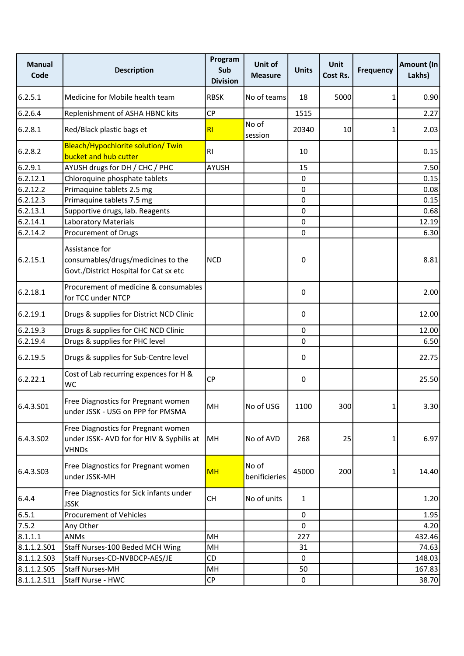| <b>Manual</b><br>Code | <b>Description</b>                                                                               | Program<br>Sub<br><b>Division</b> | Unit of<br><b>Measure</b> | <b>Units</b> | <b>Unit</b><br>Cost Rs. | <b>Frequency</b> | Amount (In<br>Lakhs) |
|-----------------------|--------------------------------------------------------------------------------------------------|-----------------------------------|---------------------------|--------------|-------------------------|------------------|----------------------|
| 6.2.5.1               | Medicine for Mobile health team                                                                  | <b>RBSK</b>                       | No of teams               | 18           | 5000                    | 1                | 0.90                 |
| 6.2.6.4               | Replenishment of ASHA HBNC kits                                                                  | <b>CP</b>                         |                           | 1515         |                         |                  | 2.27                 |
| 6.2.8.1               | Red/Black plastic bags et                                                                        | RI                                | No of<br>session          | 20340        | 10                      | 1                | 2.03                 |
| 6.2.8.2               | Bleach/Hypochlorite solution/ Twin<br>bucket and hub cutter                                      | RI                                |                           | 10           |                         |                  | 0.15                 |
| 6.2.9.1               | AYUSH drugs for DH / CHC / PHC                                                                   | <b>AYUSH</b>                      |                           | 15           |                         |                  | 7.50                 |
| 6.2.12.1              | Chloroquine phosphate tablets                                                                    |                                   |                           | 0            |                         |                  | 0.15                 |
| 6.2.12.2              | Primaquine tablets 2.5 mg                                                                        |                                   |                           | 0            |                         |                  | 0.08                 |
| 6.2.12.3              | Primaquine tablets 7.5 mg                                                                        |                                   |                           | $\mathbf 0$  |                         |                  | 0.15                 |
| 6.2.13.1              | Supportive drugs, lab. Reagents                                                                  |                                   |                           | $\mathbf 0$  |                         |                  | 0.68                 |
| 6.2.14.1              | Laboratory Materials                                                                             |                                   |                           | 0            |                         |                  | 12.19                |
| 6.2.14.2              | Procurement of Drugs                                                                             |                                   |                           | $\mathbf 0$  |                         |                  | 6.30                 |
| 6.2.15.1              | Assistance for<br>consumables/drugs/medicines to the<br>Govt./District Hospital for Cat sx etc   | <b>NCD</b>                        |                           | $\pmb{0}$    |                         |                  | 8.81                 |
| 6.2.18.1              | Procurement of medicine & consumables<br>for TCC under NTCP                                      |                                   |                           | 0            |                         |                  | 2.00                 |
| 6.2.19.1              | Drugs & supplies for District NCD Clinic                                                         |                                   |                           | 0            |                         |                  | 12.00                |
| 6.2.19.3              | Drugs & supplies for CHC NCD Clinic                                                              |                                   |                           | 0            |                         |                  | 12.00                |
| 6.2.19.4              | Drugs & supplies for PHC level                                                                   |                                   |                           | $\mathbf 0$  |                         |                  | 6.50                 |
| 6.2.19.5              | Drugs & supplies for Sub-Centre level                                                            |                                   |                           | 0            |                         |                  | 22.75                |
| 6.2.22.1              | Cost of Lab recurring expences for H &<br>WC                                                     | <b>CP</b>                         |                           | 0            |                         |                  | 25.50                |
| 6.4.3.S01             | Free Diagnostics for Pregnant women<br>under JSSK - USG on PPP for PMSMA                         | MH                                | No of USG                 | 1100         | 300                     | 1                | 3.30                 |
| 6.4.3.502             | Free Diagnostics for Pregnant women<br>under JSSK- AVD for for HIV & Syphilis at<br><b>VHNDs</b> | MH                                | No of AVD                 | 268          | 25                      | 1                | 6.97                 |
| 6.4.3.503             | Free Diagnostics for Pregnant women<br>under JSSK-MH                                             | <b>MH</b>                         | No of<br>benificieries    | 45000        | 200                     | 1                | 14.40                |
| 6.4.4                 | Free Diagnostics for Sick infants under<br><b>JSSK</b>                                           | <b>CH</b>                         | No of units               | $\mathbf{1}$ |                         |                  | 1.20                 |
| 6.5.1                 | <b>Procurement of Vehicles</b>                                                                   |                                   |                           | $\mathbf{0}$ |                         |                  | 1.95                 |
| 7.5.2                 | Any Other                                                                                        |                                   |                           | 0            |                         |                  | 4.20                 |
| 8.1.1.1               | ANMs                                                                                             | MH                                |                           | 227          |                         |                  | 432.46               |
| 8.1.1.2.S01           | Staff Nurses-100 Beded MCH Wing                                                                  | MH                                |                           | 31           |                         |                  | 74.63                |
| 8.1.1.2.503           | Staff Nurses-CD-NVBDCP-AES/JE                                                                    | CD                                |                           | 0            |                         |                  | 148.03               |
| 8.1.1.2.505           | <b>Staff Nurses-MH</b>                                                                           | MH                                |                           | 50           |                         |                  | 167.83               |
| 8.1.1.2.511           | Staff Nurse - HWC                                                                                | CP                                |                           | 0            |                         |                  | 38.70                |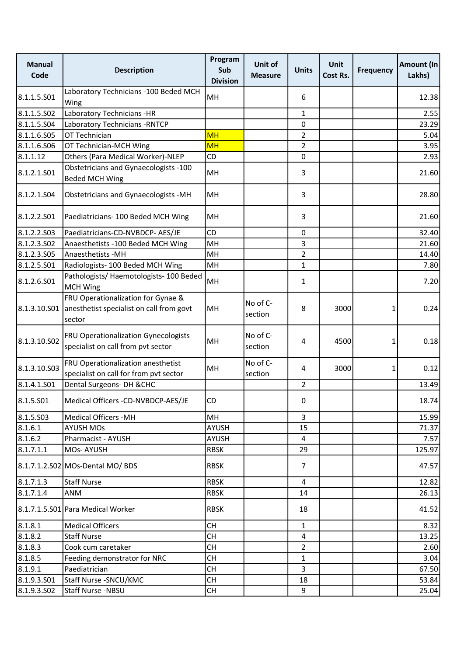| <b>Manual</b><br>Code | <b>Description</b>                                                                                    | Program<br>Sub<br><b>Division</b> | Unit of<br><b>Measure</b> | <b>Units</b>   | <b>Unit</b><br>Cost Rs. | <b>Frequency</b> | Amount (In<br>Lakhs) |
|-----------------------|-------------------------------------------------------------------------------------------------------|-----------------------------------|---------------------------|----------------|-------------------------|------------------|----------------------|
| 8.1.1.5.S01           | Laboratory Technicians - 100 Beded MCH<br>Wing                                                        | MH                                |                           | 6              |                         |                  | 12.38                |
| 8.1.1.5.502           | Laboratory Technicians -HR                                                                            |                                   |                           | 1              |                         |                  | 2.55                 |
| 8.1.1.5.S04           | Laboratory Technicians - RNTCP                                                                        |                                   |                           | 0              |                         |                  | 23.29                |
| 8.1.1.6.S05           | OT Technician                                                                                         | <b>MH</b>                         |                           | $\overline{2}$ |                         |                  | 5.04                 |
| 8.1.1.6.506           | OT Technician-MCH Wing                                                                                | <b>MH</b>                         |                           | $\overline{2}$ |                         |                  | 3.95                 |
| 8.1.1.12              | Others (Para Medical Worker)-NLEP                                                                     | CD                                |                           | 0              |                         |                  | 2.93                 |
| 8.1.2.1.S01           | Obstetricians and Gynaecologists -100<br><b>Beded MCH Wing</b>                                        | MH                                |                           | 3              |                         |                  | 21.60                |
| 8.1.2.1.504           | Obstetricians and Gynaecologists -MH                                                                  | MH                                |                           | 3              |                         |                  | 28.80                |
| 8.1.2.2.S01           | Paediatricians- 100 Beded MCH Wing                                                                    | MН                                |                           | 3              |                         |                  | 21.60                |
| 8.1.2.2.503           | Paediatricians-CD-NVBDCP- AES/JE                                                                      | CD                                |                           | $\pmb{0}$      |                         |                  | 32.40                |
| 8.1.2.3.502           | Anaesthetists -100 Beded MCH Wing                                                                     | MH                                |                           | 3              |                         |                  | 21.60                |
| 8.1.2.3.505           | Anaesthetists - MH                                                                                    | MH                                |                           | $\overline{2}$ |                         |                  | 14.40                |
| 8.1.2.5.S01           | Radiologists- 100 Beded MCH Wing                                                                      | MH                                |                           | 1              |                         |                  | 7.80                 |
| 8.1.2.6.S01           | Pathologists/ Haemotologists- 100 Beded<br><b>MCH Wing</b>                                            | MH                                |                           | 1              |                         |                  | 7.20                 |
|                       | FRU Operationalization for Gynae &<br>8.1.3.10.S01 anesthetist specialist on call from govt<br>sector | MH                                | No of C-<br>section       | 8              | 3000                    | 1                | 0.24                 |
| 8.1.3.10.502          | FRU Operationalization Gynecologists<br>specialist on call from pvt sector                            | MH                                | No of C-<br>section       | 4              | 4500                    | 1                | 0.18                 |
| 8.1.3.10.S03          | FRU Operationalization anesthetist<br>specialist on call for from pvt sector                          | MH                                | No of C-<br>section       | 4              | 3000                    | 1                | 0.12                 |
| 8.1.4.1.501           | Dental Surgeons- DH & CHC                                                                             |                                   |                           | $\overline{2}$ |                         |                  | 13.49                |
| 8.1.5.501             | Medical Officers -CD-NVBDCP-AES/JE                                                                    | CD                                |                           | <sup>0</sup>   |                         |                  | 18.74                |
| 8.1.5.503             | <b>Medical Officers -MH</b>                                                                           | MH                                |                           | 3              |                         |                  | 15.99                |
| 8.1.6.1               | <b>AYUSH MOs</b>                                                                                      | AYUSH                             |                           | 15             |                         |                  | 71.37                |
| 8.1.6.2               | Pharmacist - AYUSH                                                                                    | AYUSH                             |                           | $\overline{4}$ |                         |                  | 7.57                 |
| 8.1.7.1.1             | MOs-AYUSH                                                                                             | RBSK                              |                           | 29             |                         |                  | 125.97               |
|                       | 8.1.7.1.2.S02 MOs-Dental MO/ BDS                                                                      | <b>RBSK</b>                       |                           | $\overline{7}$ |                         |                  | 47.57                |
| 8.1.7.1.3             | <b>Staff Nurse</b>                                                                                    | <b>RBSK</b>                       |                           | $\overline{4}$ |                         |                  | 12.82                |
| 8.1.7.1.4             | ANM                                                                                                   | <b>RBSK</b>                       |                           | 14             |                         |                  | 26.13                |
|                       | 8.1.7.1.5.S01 Para Medical Worker                                                                     | <b>RBSK</b>                       |                           | 18             |                         |                  | 41.52                |
| 8.1.8.1               | <b>Medical Officers</b>                                                                               | <b>CH</b>                         |                           | $\mathbf{1}$   |                         |                  | 8.32                 |
| 8.1.8.2               | <b>Staff Nurse</b>                                                                                    | <b>CH</b>                         |                           | $\overline{4}$ |                         |                  | 13.25                |
| 8.1.8.3               | Cook cum caretaker                                                                                    | <b>CH</b>                         |                           | $\overline{2}$ |                         |                  | 2.60                 |
| 8.1.8.5               | Feeding demonstrator for NRC                                                                          | <b>CH</b>                         |                           | $\mathbf{1}$   |                         |                  | 3.04                 |
| 8.1.9.1               | Paediatrician                                                                                         | <b>CH</b>                         |                           | $\overline{3}$ |                         |                  | 67.50                |
| 8.1.9.3.501           | Staff Nurse - SNCU/KMC                                                                                | <b>CH</b>                         |                           | 18             |                         |                  | 53.84                |
| 8.1.9.3.502           | Staff Nurse -NBSU                                                                                     | <b>CH</b>                         |                           | 9              |                         |                  | 25.04                |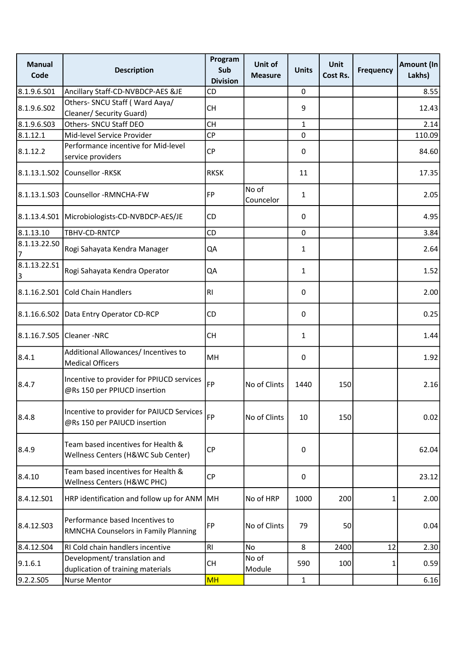| <b>Manual</b><br>Code | <b>Description</b>                                                        | Program<br>Sub<br><b>Division</b> | Unit of<br><b>Measure</b> | <b>Units</b> | <b>Unit</b><br>Cost Rs. | <b>Frequency</b> | Amount (In<br>Lakhs) |
|-----------------------|---------------------------------------------------------------------------|-----------------------------------|---------------------------|--------------|-------------------------|------------------|----------------------|
| 8.1.9.6.S01           | Ancillary Staff-CD-NVBDCP-AES &JE                                         | CD                                |                           | 0            |                         |                  | 8.55                 |
| 8.1.9.6.S02           | Others- SNCU Staff ( Ward Aaya/<br>Cleaner/ Security Guard)               | <b>CH</b>                         |                           | 9            |                         |                  | 12.43                |
| 8.1.9.6.S03           | Others- SNCU Staff DEO                                                    | <b>CH</b>                         |                           | $\mathbf{1}$ |                         |                  | 2.14                 |
| 8.1.12.1              | Mid-level Service Provider                                                | <b>CP</b>                         |                           | $\mathbf 0$  |                         |                  | 110.09               |
| 8.1.12.2              | Performance incentive for Mid-level<br>service providers                  | <b>CP</b>                         |                           | 0            |                         |                  | 84.60                |
|                       | 8.1.13.1.S02 Counsellor -RKSK                                             | <b>RKSK</b>                       |                           | 11           |                         |                  | 17.35                |
| 8.1.13.1.S03          | Counsellor -RMNCHA-FW                                                     | <b>FP</b>                         | No of<br>Councelor        | 1            |                         |                  | 2.05                 |
|                       | 8.1.13.4.S01 Microbiologists-CD-NVBDCP-AES/JE                             | CD                                |                           | 0            |                         |                  | 4.95                 |
| 8.1.13.10             | TBHV-CD-RNTCP                                                             | CD                                |                           | $\mathbf 0$  |                         |                  | 3.84                 |
| 8.1.13.22.SO<br>7     | Rogi Sahayata Kendra Manager                                              | QA                                |                           | 1            |                         |                  | 2.64                 |
| 8.1.13.22.51<br>3     | Rogi Sahayata Kendra Operator                                             | QA                                |                           | 1            |                         |                  | 1.52                 |
| 8.1.16.2.501          | <b>Cold Chain Handlers</b>                                                | RI                                |                           | 0            |                         |                  | 2.00                 |
|                       | 8.1.16.6.S02 Data Entry Operator CD-RCP                                   | CD                                |                           | 0            |                         |                  | 0.25                 |
|                       | 8.1.16.7.S05 Cleaner -NRC                                                 | <b>CH</b>                         |                           | $\mathbf{1}$ |                         |                  | 1.44                 |
| 8.4.1                 | Additional Allowances/ Incentives to<br><b>Medical Officers</b>           | MH                                |                           | 0            |                         |                  | 1.92                 |
| 8.4.7                 | Incentive to provider for PPIUCD services<br>@Rs 150 per PPIUCD insertion | <b>FP</b>                         | No of Clints              | 1440         | 150                     |                  | 2.16                 |
| 8.4.8                 | Incentive to provider for PAIUCD Services<br>@Rs 150 per PAIUCD insertion | <b>FP</b>                         | No of Clints              | 10           | 150                     |                  | 0.02                 |
| 8.4.9                 | Team based incentives for Health &<br>Wellness Centers (H&WC Sub Center)  | <b>CP</b>                         |                           | 0            |                         |                  | 62.04                |
| 8.4.10                | Team based incentives for Health &<br>Wellness Centers (H&WC PHC)         | <b>CP</b>                         |                           | 0            |                         |                  | 23.12                |
| 8.4.12.S01            | HRP identification and follow up for ANM                                  | MH                                | No of HRP                 | 1000         | 200                     | 1                | 2.00                 |
| 8.4.12.503            | Performance based Incentives to<br>RMNCHA Counselors in Family Planning   | FP                                | No of Clints              | 79           | 50                      |                  | 0.04                 |
| 8.4.12.S04            | RI Cold chain handlers incentive                                          | R <sub>1</sub>                    | <b>No</b>                 | 8            | 2400                    | 12               | 2.30                 |
| 9.1.6.1               | Development/ translation and<br>duplication of training materials         | <b>CH</b>                         | No of<br>Module           | 590          | 100                     | 1                | 0.59                 |
| 9.2.2.S05             | <b>Nurse Mentor</b>                                                       | <b>MH</b>                         |                           | $\mathbf{1}$ |                         |                  | 6.16                 |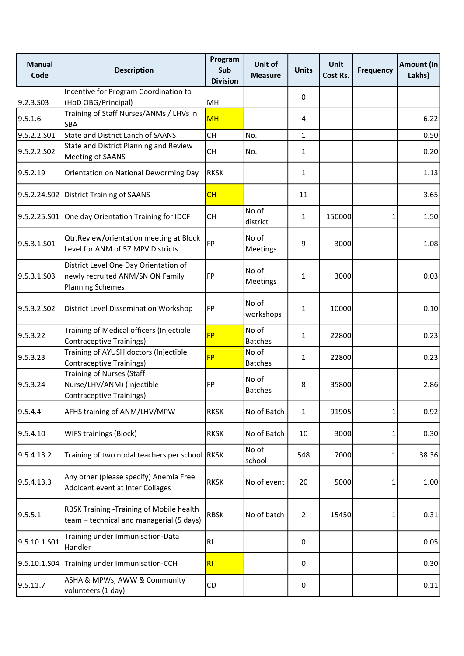| <b>Manual</b><br>Code | <b>Description</b>                                                                                   | Program<br>Sub<br><b>Division</b> | Unit of<br><b>Measure</b> | <b>Units</b>   | <b>Unit</b><br>Cost Rs. | <b>Frequency</b> | Amount (In<br>Lakhs) |
|-----------------------|------------------------------------------------------------------------------------------------------|-----------------------------------|---------------------------|----------------|-------------------------|------------------|----------------------|
|                       | Incentive for Program Coordination to                                                                |                                   |                           | 0              |                         |                  |                      |
| 9.2.3.S03<br>9.5.1.6  | (HoD OBG/Principal)<br>Training of Staff Nurses/ANMs / LHVs in                                       | MH<br><b>MH</b>                   |                           | 4              |                         |                  | 6.22                 |
|                       | <b>SBA</b>                                                                                           |                                   |                           |                |                         |                  |                      |
| 9.5.2.2.S01           | <b>State and District Lanch of SAANS</b><br>State and District Planning and Review                   | <b>CH</b>                         | No.                       | $\mathbf{1}$   |                         |                  | 0.50                 |
| 9.5.2.2.SO2           | Meeting of SAANS                                                                                     | <b>CH</b>                         | No.                       | $\mathbf{1}$   |                         |                  | 0.20                 |
| 9.5.2.19              | Orientation on National Deworming Day                                                                | <b>RKSK</b>                       |                           | $\mathbf{1}$   |                         |                  | 1.13                 |
| 9.5.2.24.S02          | <b>District Training of SAANS</b>                                                                    | CH                                |                           | 11             |                         |                  | 3.65                 |
| 9.5.2.25.S01          | One day Orientation Training for IDCF                                                                | СH                                | No of<br>district         | $\mathbf{1}$   | 150000                  | 1                | 1.50                 |
| 9.5.3.1.S01           | Qtr.Review/orientation meeting at Block<br>Level for ANM of 57 MPV Districts                         | <b>FP</b>                         | No of<br><b>Meetings</b>  | 9              | 3000                    |                  | 1.08                 |
| 9.5.3.1.S03           | District Level One Day Orientation of<br>newly recruited ANM/SN ON Family<br><b>Planning Schemes</b> | FP                                | No of<br>Meetings         | 1              | 3000                    |                  | 0.03                 |
| 9.5.3.2.S02           | District Level Dissemination Workshop                                                                | FP                                | No of<br>workshops        | $\mathbf{1}$   | 10000                   |                  | 0.10                 |
| 9.5.3.22              | Training of Medical officers (Injectible<br>Contraceptive Trainings)                                 | <b>FP</b>                         | No of<br><b>Batches</b>   | 1              | 22800                   |                  | 0.23                 |
| 9.5.3.23              | Training of AYUSH doctors (Injectible<br>Contraceptive Trainings)                                    | <b>FP</b>                         | No of<br><b>Batches</b>   | $\mathbf{1}$   | 22800                   |                  | 0.23                 |
| 9.5.3.24              | <b>Training of Nurses (Staff</b><br>Nurse/LHV/ANM) (Injectible<br><b>Contraceptive Trainings)</b>    | <b>FP</b>                         | No of<br><b>Batches</b>   | 8              | 35800                   |                  | 2.86                 |
| 9.5.4.4               | AFHS training of ANM/LHV/MPW                                                                         | <b>RKSK</b>                       | No of Batch               | 1              | 91905                   | 1                | 0.92                 |
| 9.5.4.10              | WIFS trainings (Block)                                                                               | <b>RKSK</b>                       | No of Batch               | 10             | 3000                    | 1                | 0.30                 |
| 9.5.4.13.2            | Training of two nodal teachers per school RKSK                                                       |                                   | No of<br>school           | 548            | 7000                    | 1                | 38.36                |
| 9.5.4.13.3            | Any other (please specify) Anemia Free<br>Adolcent event at Inter Collages                           | <b>RKSK</b>                       | No of event               | 20             | 5000                    | 1                | 1.00                 |
| 9.5.5.1               | RBSK Training - Training of Mobile health<br>team - technical and managerial (5 days)                | <b>RBSK</b>                       | No of batch               | $\overline{2}$ | 15450                   | 1                | 0.31                 |
| 9.5.10.1.S01          | Training under Immunisation-Data<br>Handler                                                          | <b>RI</b>                         |                           | 0              |                         |                  | 0.05                 |
| 9.5.10.1.S04          | Training under Immunisation-CCH                                                                      | RI                                |                           | 0              |                         |                  | 0.30                 |
| 9.5.11.7              | ASHA & MPWs, AWW & Community<br>volunteers (1 day)                                                   | CD                                |                           | 0              |                         |                  | 0.11                 |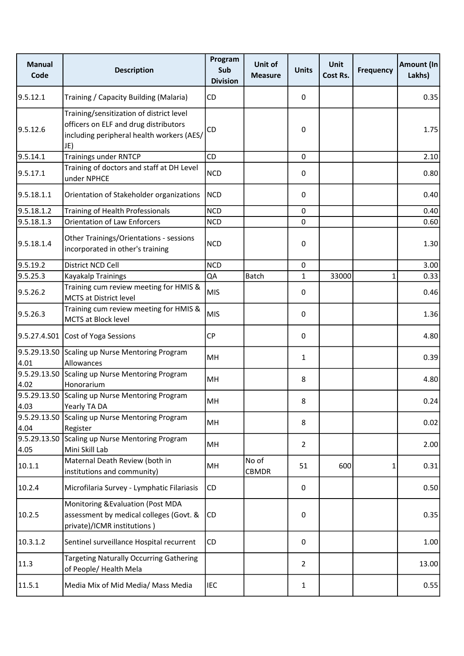| <b>Manual</b><br>Code | <b>Description</b>                                                                                                                    | Program<br>Sub<br><b>Division</b> | Unit of<br><b>Measure</b> | <b>Units</b> | <b>Unit</b><br>Cost Rs. | <b>Frequency</b> | Amount (In<br>Lakhs) |
|-----------------------|---------------------------------------------------------------------------------------------------------------------------------------|-----------------------------------|---------------------------|--------------|-------------------------|------------------|----------------------|
| 9.5.12.1              | Training / Capacity Building (Malaria)                                                                                                | CD                                |                           | 0            |                         |                  | 0.35                 |
| 9.5.12.6              | Training/sensitization of district level<br>officers on ELF and drug distributors<br>including peripheral health workers (AES/<br>JE) | CD                                |                           | $\mathbf 0$  |                         |                  | 1.75                 |
| 9.5.14.1              | <b>Trainings under RNTCP</b>                                                                                                          | CD                                |                           | $\mathbf 0$  |                         |                  | 2.10                 |
| 9.5.17.1              | Training of doctors and staff at DH Level<br>under NPHCE                                                                              | <b>NCD</b>                        |                           | 0            |                         |                  | 0.80                 |
| 9.5.18.1.1            | Orientation of Stakeholder organizations                                                                                              | <b>NCD</b>                        |                           | 0            |                         |                  | 0.40                 |
| 9.5.18.1.2            | Training of Health Professionals                                                                                                      | <b>NCD</b>                        |                           | $\mathbf{0}$ |                         |                  | 0.40                 |
| 9.5.18.1.3            | <b>Orientation of Law Enforcers</b>                                                                                                   | <b>NCD</b>                        |                           | 0            |                         |                  | 0.60                 |
| 9.5.18.1.4            | Other Trainings/Orientations - sessions<br>incorporated in other's training                                                           | <b>NCD</b>                        |                           | 0            |                         |                  | 1.30                 |
| 9.5.19.2              | District NCD Cell                                                                                                                     | <b>NCD</b>                        |                           | 0            |                         |                  | 3.00                 |
| 9.5.25.3              | Kayakalp Trainings                                                                                                                    | QA                                | <b>Batch</b>              | $\mathbf{1}$ | 33000                   | 1                | 0.33                 |
| 9.5.26.2              | Training cum review meeting for HMIS &<br><b>MCTS at District level</b>                                                               | <b>MIS</b>                        |                           | 0            |                         |                  | 0.46                 |
| 9.5.26.3              | Training cum review meeting for HMIS &<br>MCTS at Block level                                                                         | <b>MIS</b>                        |                           | 0            |                         |                  | 1.36                 |
|                       | 9.5.27.4.S01 Cost of Yoga Sessions                                                                                                    | <b>CP</b>                         |                           | 0            |                         |                  | 4.80                 |
| 4.01                  | 9.5.29.13.S0 Scaling up Nurse Mentoring Program<br>Allowances                                                                         | MH                                |                           | 1            |                         |                  | 0.39                 |
| 4.02                  | 9.5.29.13.S0 Scaling up Nurse Mentoring Program<br>Honorarium                                                                         | MH                                |                           | 8            |                         |                  | 4.80                 |
| 4.03                  | 9.5.29.13.S0 Scaling up Nurse Mentoring Program<br>Yearly TA DA                                                                       | MH                                |                           | 8            |                         |                  | 0.24                 |
| 4.04                  | 9.5.29.13.S0 Scaling up Nurse Mentoring Program<br>Register                                                                           | MH                                |                           | 8            |                         |                  | 0.02                 |
| 4.05                  | 9.5.29.13.SO Scaling up Nurse Mentoring Program<br>Mini Skill Lab                                                                     | MH                                |                           | 2            |                         |                  | 2.00                 |
| 10.1.1                | Maternal Death Review (both in<br>institutions and community)                                                                         | MH                                | No of<br><b>CBMDR</b>     | 51           | 600                     | 1                | 0.31                 |
| 10.2.4                | Microfilaria Survey - Lymphatic Filariasis                                                                                            | CD                                |                           | 0            |                         |                  | 0.50                 |
| 10.2.5                | Monitoring & Evaluation (Post MDA<br>assessment by medical colleges (Govt. &<br>private)/ICMR institutions)                           | <b>CD</b>                         |                           | 0            |                         |                  | 0.35                 |
| 10.3.1.2              | Sentinel surveillance Hospital recurrent                                                                                              | CD                                |                           | 0            |                         |                  | 1.00                 |
| 11.3                  | <b>Targeting Naturally Occurring Gathering</b><br>of People/ Health Mela                                                              |                                   |                           | 2            |                         |                  | 13.00                |
| 11.5.1                | Media Mix of Mid Media/ Mass Media                                                                                                    | <b>IEC</b>                        |                           | $\mathbf{1}$ |                         |                  | 0.55                 |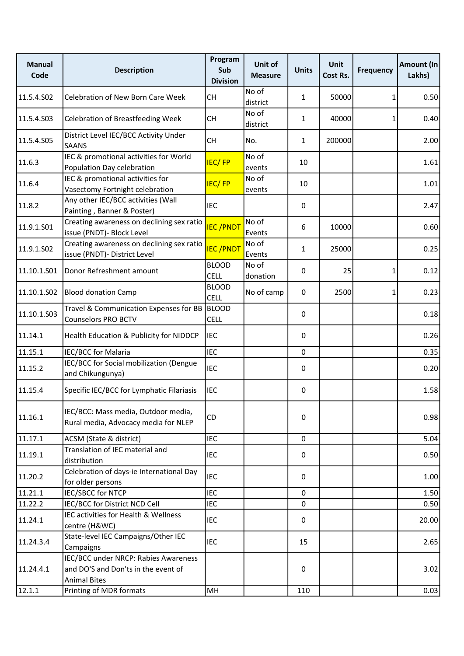| <b>Manual</b><br>Code | <b>Description</b>                                                                                 | Program<br>Sub<br><b>Division</b> | Unit of<br><b>Measure</b> | <b>Units</b> | <b>Unit</b><br>Cost Rs. | <b>Frequency</b> | Amount (In<br>Lakhs) |
|-----------------------|----------------------------------------------------------------------------------------------------|-----------------------------------|---------------------------|--------------|-------------------------|------------------|----------------------|
| 11.5.4.S02            | Celebration of New Born Care Week                                                                  | CH                                | No of<br>district         | $\mathbf{1}$ | 50000                   | 1                | 0.50                 |
| 11.5.4.S03            | <b>Celebration of Breastfeeding Week</b>                                                           | <b>CH</b>                         | No of<br>district         | $\mathbf{1}$ | 40000                   | 1                | 0.40                 |
| 11.5.4.S05            | District Level IEC/BCC Activity Under<br><b>SAANS</b>                                              | <b>CH</b>                         | No.                       | $\mathbf{1}$ | 200000                  |                  | 2.00                 |
| 11.6.3                | IEC & promotional activities for World<br>Population Day celebration                               | <b>IEC/FP</b>                     | No of<br>events           | 10           |                         |                  | 1.61                 |
| 11.6.4                | IEC & promotional activities for<br>Vasectomy Fortnight celebration                                | <b>IEC/FP</b>                     | No of<br>events           | 10           |                         |                  | 1.01                 |
| 11.8.2                | Any other IEC/BCC activities (Wall<br>Painting, Banner & Poster)                                   | <b>IEC</b>                        |                           | 0            |                         |                  | 2.47                 |
| 11.9.1.S01            | Creating awareness on declining sex ratio<br>issue (PNDT)- Block Level                             | <b>IEC/PNDT</b>                   | No of<br>Events           | 6            | 10000                   |                  | 0.60                 |
| 11.9.1.S02            | Creating awareness on declining sex ratio<br>issue (PNDT)- District Level                          | <b>IEC/PNDT</b>                   | No of<br>Events           | 1            | 25000                   |                  | 0.25                 |
| 11.10.1.S01           | Donor Refreshment amount                                                                           | <b>BLOOD</b><br><b>CELL</b>       | No of<br>donation         | 0            | 25                      | 1                | 0.12                 |
| 11.10.1.502           | <b>Blood donation Camp</b>                                                                         | <b>BLOOD</b><br><b>CELL</b>       | No of camp                | 0            | 2500                    | 1                | 0.23                 |
| 11.10.1.503           | Travel & Communication Expenses for BB<br><b>Counselors PRO BCTV</b>                               | <b>BLOOD</b><br><b>CELL</b>       |                           | 0            |                         |                  | 0.18                 |
| 11.14.1               | Health Education & Publicity for NIDDCP                                                            | <b>IEC</b>                        |                           | 0            |                         |                  | 0.26                 |
| 11.15.1               | IEC/BCC for Malaria                                                                                | <b>IEC</b>                        |                           | 0            |                         |                  | 0.35                 |
| 11.15.2               | IEC/BCC for Social mobilization (Dengue<br>and Chikungunya)                                        | <b>IEC</b>                        |                           | 0            |                         |                  | 0.20                 |
| 11.15.4               | Specific IEC/BCC for Lymphatic Filariasis                                                          | <b>IEC</b>                        |                           | 0            |                         |                  | 1.58                 |
| 11.16.1               | IEC/BCC: Mass media, Outdoor media,<br>Rural media, Advocacy media for NLEP                        | CD                                |                           | 0            |                         |                  | 0.98                 |
| 11.17.1               | ACSM (State & district)                                                                            | <b>IEC</b>                        |                           | $\mathbf 0$  |                         |                  | 5.04                 |
| 11.19.1               | Translation of IEC material and<br>distribution                                                    | <b>IEC</b>                        |                           | 0            |                         |                  | 0.50                 |
| 11.20.2               | Celebration of days-ie International Day<br>for older persons                                      | <b>IEC</b>                        |                           | 0            |                         |                  | 1.00                 |
| 11.21.1               | <b>IEC/SBCC for NTCP</b>                                                                           | <b>IEC</b>                        |                           | 0            |                         |                  | 1.50                 |
| 11.22.2               | IEC/BCC for District NCD Cell                                                                      | <b>IEC</b>                        |                           | 0            |                         |                  | 0.50                 |
| 11.24.1               | IEC activities for Health & Wellness<br>centre (H&WC)                                              | <b>IEC</b>                        |                           | 0            |                         |                  | 20.00                |
| 11.24.3.4             | State-level IEC Campaigns/Other IEC<br>Campaigns                                                   | <b>IEC</b>                        |                           | 15           |                         |                  | 2.65                 |
| 11.24.4.1             | IEC/BCC under NRCP: Rabies Awareness<br>and DO'S and Don'ts in the event of<br><b>Animal Bites</b> |                                   |                           | 0            |                         |                  | 3.02                 |
| 12.1.1                | Printing of MDR formats                                                                            | MH                                |                           | 110          |                         |                  | 0.03                 |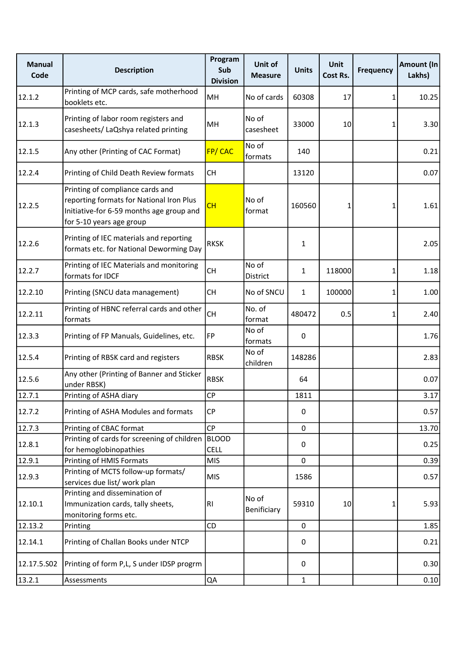| <b>Manual</b><br>Code | <b>Description</b>                                                                                                                                   | Program<br>Sub<br><b>Division</b> | Unit of<br><b>Measure</b> | <b>Units</b> | <b>Unit</b><br>Cost Rs. | <b>Frequency</b> | Amount (In<br>Lakhs) |
|-----------------------|------------------------------------------------------------------------------------------------------------------------------------------------------|-----------------------------------|---------------------------|--------------|-------------------------|------------------|----------------------|
| 12.1.2                | Printing of MCP cards, safe motherhood<br>booklets etc.                                                                                              | MH                                | No of cards               | 60308        | 17                      | 1                | 10.25                |
| 12.1.3                | Printing of labor room registers and<br>casesheets/ LaQshya related printing                                                                         | MH                                | No of<br>casesheet        | 33000        | 10                      | 1                | 3.30                 |
| 12.1.5                | Any other (Printing of CAC Format)                                                                                                                   | FP/CAC                            | No of<br>formats          | 140          |                         |                  | 0.21                 |
| 12.2.4                | Printing of Child Death Review formats                                                                                                               | <b>CH</b>                         |                           | 13120        |                         |                  | 0.07                 |
| 12.2.5                | Printing of compliance cards and<br>reporting formats for National Iron Plus<br>Initiative-for 6-59 months age group and<br>for 5-10 years age group | CH                                | No of<br>format           | 160560       | 1                       | 1                | 1.61                 |
| 12.2.6                | Printing of IEC materials and reporting<br>formats etc. for National Deworming Day                                                                   | <b>RKSK</b>                       |                           | 1            |                         |                  | 2.05                 |
| 12.2.7                | Printing of IEC Materials and monitoring<br>formats for IDCF                                                                                         | <b>CH</b>                         | No of<br>District         | $\mathbf{1}$ | 118000                  | 1                | 1.18                 |
| 12.2.10               | Printing (SNCU data management)                                                                                                                      | CH                                | No of SNCU                | 1            | 100000                  | 1                | 1.00                 |
| 12.2.11               | Printing of HBNC referral cards and other<br>formats                                                                                                 | CH                                | No. of<br>format          | 480472       | 0.5                     | 1                | 2.40                 |
| 12.3.3                | Printing of FP Manuals, Guidelines, etc.                                                                                                             | <b>FP</b>                         | No of<br>formats          | 0            |                         |                  | 1.76                 |
| 12.5.4                | Printing of RBSK card and registers                                                                                                                  | <b>RBSK</b>                       | No of<br>children         | 148286       |                         |                  | 2.83                 |
| 12.5.6                | Any other (Printing of Banner and Sticker<br>under RBSK)                                                                                             | <b>RBSK</b>                       |                           | 64           |                         |                  | 0.07                 |
| 12.7.1                | Printing of ASHA diary                                                                                                                               | CP                                |                           | 1811         |                         |                  | 3.17                 |
| 12.7.2                | Printing of ASHA Modules and formats                                                                                                                 | <b>CP</b>                         |                           | $\pmb{0}$    |                         |                  | 0.57                 |
| 12.7.3                | Printing of CBAC format                                                                                                                              | <b>CP</b>                         |                           | 0            |                         |                  | 13.70                |
| 12.8.1                | Printing of cards for screening of children<br>for hemoglobinopathies                                                                                | <b>BLOOD</b><br><b>CELL</b>       |                           | 0            |                         |                  | 0.25                 |
| 12.9.1                | Printing of HMIS Formats                                                                                                                             | <b>MIS</b>                        |                           | 0            |                         |                  | 0.39                 |
| 12.9.3                | Printing of MCTS follow-up formats/<br>services due list/ work plan                                                                                  | <b>MIS</b>                        |                           | 1586         |                         |                  | 0.57                 |
| 12.10.1               | Printing and dissemination of<br>Immunization cards, tally sheets,<br>monitoring forms etc.                                                          | <b>RI</b>                         | No of<br>Benificiary      | 59310        | 10                      | 1                | 5.93                 |
| 12.13.2               | Printing                                                                                                                                             | CD                                |                           | $\pmb{0}$    |                         |                  | 1.85                 |
| 12.14.1               | Printing of Challan Books under NTCP                                                                                                                 |                                   |                           | 0            |                         |                  | 0.21                 |
| 12.17.5.502           | Printing of form P,L, S under IDSP progrm                                                                                                            |                                   |                           | 0            |                         |                  | 0.30                 |
| 13.2.1                | Assessments                                                                                                                                          | QA                                |                           | $\mathbf{1}$ |                         |                  | 0.10                 |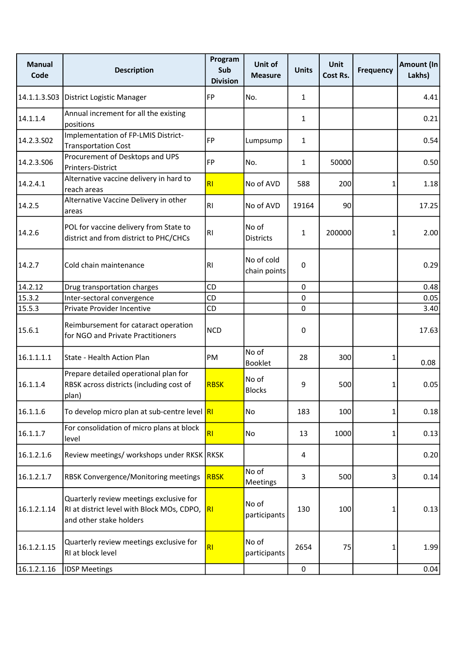| <b>Manual</b><br>Code | <b>Description</b>                                                                                               | Program<br>Sub<br><b>Division</b> | Unit of<br><b>Measure</b>  | <b>Units</b> | <b>Unit</b><br>Cost Rs. | <b>Frequency</b> | Amount (In<br>Lakhs) |
|-----------------------|------------------------------------------------------------------------------------------------------------------|-----------------------------------|----------------------------|--------------|-------------------------|------------------|----------------------|
| 14.1.1.3.503          | District Logistic Manager                                                                                        | FP                                | No.                        | $\mathbf{1}$ |                         |                  | 4.41                 |
| 14.1.1.4              | Annual increment for all the existing<br>positions                                                               |                                   |                            | $\mathbf{1}$ |                         |                  | 0.21                 |
| 14.2.3.502            | Implementation of FP-LMIS District-<br><b>Transportation Cost</b>                                                | <b>FP</b>                         | Lumpsump                   | $\mathbf{1}$ |                         |                  | 0.54                 |
| 14.2.3.506            | Procurement of Desktops and UPS<br>Printers-District                                                             | FP                                | No.                        | 1            | 50000                   |                  | 0.50                 |
| 14.2.4.1              | Alternative vaccine delivery in hard to<br>reach areas                                                           | RI                                | No of AVD                  | 588          | 200                     | 1                | 1.18                 |
| 14.2.5                | Alternative Vaccine Delivery in other<br>areas                                                                   | RI                                | No of AVD                  | 19164        | 90                      |                  | 17.25                |
| 14.2.6                | POL for vaccine delivery from State to<br>district and from district to PHC/CHCs                                 | RI                                | No of<br><b>Districts</b>  | $\mathbf{1}$ | 200000                  | 1                | 2.00                 |
| 14.2.7                | Cold chain maintenance                                                                                           | RI                                | No of cold<br>chain points | $\pmb{0}$    |                         |                  | 0.29                 |
| 14.2.12               | Drug transportation charges                                                                                      | <b>CD</b>                         |                            | $\pmb{0}$    |                         |                  | 0.48                 |
| 15.3.2                | Inter-sectoral convergence                                                                                       | CD                                |                            | 0            |                         |                  | 0.05                 |
| 15.5.3                | Private Provider Incentive                                                                                       | CD                                |                            | $\Omega$     |                         |                  | 3.40                 |
| 15.6.1                | Reimbursement for cataract operation<br>for NGO and Private Practitioners                                        | <b>NCD</b>                        |                            | 0            |                         |                  | 17.63                |
| 16.1.1.1.1            | State - Health Action Plan                                                                                       | PM                                | No of<br><b>Booklet</b>    | 28           | 300                     | 1                | 0.08                 |
| 16.1.1.4              | Prepare detailed operational plan for<br>RBSK across districts (including cost of<br>plan)                       | <b>RBSK</b>                       | No of<br><b>Blocks</b>     | 9            | 500                     | 1                | 0.05                 |
| 16.1.1.6              | To develop micro plan at sub-centre level RI                                                                     |                                   | No                         | 183          | 100                     | 1                | 0.18                 |
| 16.1.1.7              | For consolidation of micro plans at block<br>level                                                               | RI                                | No                         | 13           | 1000                    | 1                | 0.13                 |
| 16.1.2.1.6            | Review meetings/ workshops under RKSK RKSK                                                                       |                                   |                            | 4            |                         |                  | 0.20                 |
| 16.1.2.1.7            | RBSK Convergence/Monitoring meetings                                                                             | <b>RBSK</b>                       | No of<br>Meetings          | 3            | 500                     | 3                | 0.14                 |
| 16.1.2.1.14           | Quarterly review meetings exclusive for<br>RI at district level with Block MOs, CDPO,<br>and other stake holders | R                                 | No of<br>participants      | 130          | 100                     | 1                | 0.13                 |
| 16.1.2.1.15           | Quarterly review meetings exclusive for<br>RI at block level                                                     | RI                                | No of<br>participants      | 2654         | 75                      | 1                | 1.99                 |
| 16.1.2.1.16           | <b>IDSP Meetings</b>                                                                                             |                                   |                            | $\pmb{0}$    |                         |                  | 0.04                 |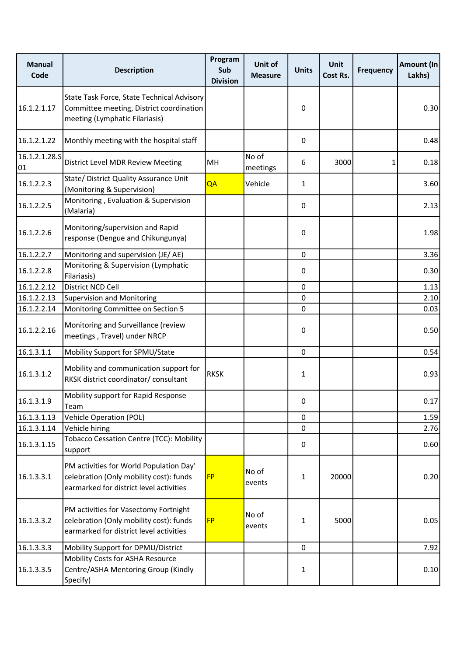| <b>Manual</b><br>Code | <b>Description</b>                                                                                                            | Program<br>Sub<br><b>Division</b> | Unit of<br><b>Measure</b> | <b>Units</b> | <b>Unit</b><br>Cost Rs. | <b>Frequency</b> | Amount (In<br>Lakhs) |
|-----------------------|-------------------------------------------------------------------------------------------------------------------------------|-----------------------------------|---------------------------|--------------|-------------------------|------------------|----------------------|
| 16.1.2.1.17           | State Task Force, State Technical Advisory<br>Committee meeting, District coordination<br>meeting (Lymphatic Filariasis)      |                                   |                           | 0            |                         |                  | 0.30                 |
| 16.1.2.1.22           | Monthly meeting with the hospital staff                                                                                       |                                   |                           | 0            |                         |                  | 0.48                 |
| 16.1.2.1.28.5<br>01   | District Level MDR Review Meeting                                                                                             | MH                                | No of<br>meetings         | 6            | 3000                    | 1                | 0.18                 |
| 16.1.2.2.3            | State/ District Quality Assurance Unit<br>(Monitoring & Supervision)                                                          | QA                                | Vehicle                   | $\mathbf{1}$ |                         |                  | 3.60                 |
| 16.1.2.2.5            | Monitoring, Evaluation & Supervision<br>(Malaria)                                                                             |                                   |                           | 0            |                         |                  | 2.13                 |
| 16.1.2.2.6            | Monitoring/supervision and Rapid<br>response (Dengue and Chikungunya)                                                         |                                   |                           | 0            |                         |                  | 1.98                 |
| 16.1.2.2.7            | Monitoring and supervision (JE/AE)                                                                                            |                                   |                           | 0            |                         |                  | 3.36                 |
| 16.1.2.2.8            | Monitoring & Supervision (Lymphatic<br>Filariasis)                                                                            |                                   |                           | 0            |                         |                  | 0.30                 |
| 16.1.2.2.12           | District NCD Cell                                                                                                             |                                   |                           | 0            |                         |                  | 1.13                 |
| 16.1.2.2.13           | <b>Supervision and Monitoring</b>                                                                                             |                                   |                           | 0            |                         |                  | 2.10                 |
| 16.1.2.2.14           | Monitoring Committee on Section 5                                                                                             |                                   |                           | $\Omega$     |                         |                  | 0.03                 |
| 16.1.2.2.16           | Monitoring and Surveillance (review<br>meetings, Travel) under NRCP                                                           |                                   |                           | 0            |                         |                  | 0.50                 |
| 16.1.3.1.1            | Mobility Support for SPMU/State                                                                                               |                                   |                           | $\mathbf 0$  |                         |                  | 0.54                 |
| 16.1.3.1.2            | Mobility and communication support for<br>RKSK district coordinator/ consultant                                               | <b>RKSK</b>                       |                           | 1            |                         |                  | 0.93                 |
| 16.1.3.1.9            | Mobility support for Rapid Response<br>Team                                                                                   |                                   |                           | 0            |                         |                  | 0.17                 |
| 16.1.3.1.13           | Vehicle Operation (POL)                                                                                                       |                                   |                           | 0            |                         |                  | 1.59                 |
| 16.1.3.1.14           | Vehicle hiring                                                                                                                |                                   |                           | 0            |                         |                  | 2.76                 |
| 16.1.3.1.15           | Tobacco Cessation Centre (TCC): Mobility<br>support                                                                           |                                   |                           | 0            |                         |                  | 0.60                 |
| 16.1.3.3.1            | PM activities for World Population Day'<br>celebration (Only mobility cost): funds<br>earmarked for district level activities | <b>FP</b>                         | No of<br>events           | 1            | 20000                   |                  | 0.20                 |
| 16.1.3.3.2            | PM activities for Vasectomy Fortnight<br>celebration (Only mobility cost): funds<br>earmarked for district level activities   | <b>FP</b>                         | No of<br>events           | $\mathbf{1}$ | 5000                    |                  | 0.05                 |
| 16.1.3.3.3            | Mobility Support for DPMU/District                                                                                            |                                   |                           | $\mathbf 0$  |                         |                  | 7.92                 |
| 16.1.3.3.5            | Mobility Costs for ASHA Resource<br>Centre/ASHA Mentoring Group (Kindly<br>Specify)                                           |                                   |                           | 1            |                         |                  | 0.10                 |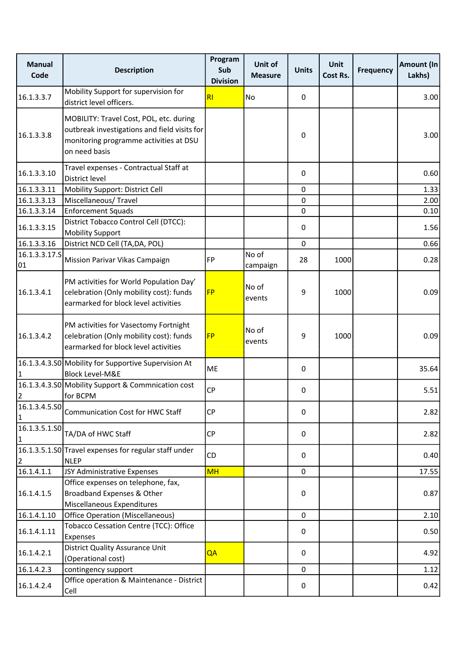| <b>Manual</b><br>Code         | <b>Description</b>                                                                                                                                 | Program<br>Sub<br><b>Division</b> | Unit of<br><b>Measure</b> | <b>Units</b> | <b>Unit</b><br>Cost Rs. | <b>Frequency</b> | <b>Amount (In</b><br>Lakhs) |
|-------------------------------|----------------------------------------------------------------------------------------------------------------------------------------------------|-----------------------------------|---------------------------|--------------|-------------------------|------------------|-----------------------------|
| 16.1.3.3.7                    | Mobility Support for supervision for<br>district level officers.                                                                                   | RI                                | No                        | 0            |                         |                  | 3.00                        |
| 16.1.3.3.8                    | MOBILITY: Travel Cost, POL, etc. during<br>outbreak investigations and field visits for<br>monitoring programme activities at DSU<br>on need basis |                                   |                           | 0            |                         |                  | 3.00                        |
| 16.1.3.3.10                   | Travel expenses - Contractual Staff at<br>District level                                                                                           |                                   |                           | 0            |                         |                  | 0.60                        |
| 16.1.3.3.11                   | Mobility Support: District Cell                                                                                                                    |                                   |                           | 0            |                         |                  | 1.33                        |
| 16.1.3.3.13                   | Miscellaneous/Travel                                                                                                                               |                                   |                           | $\mathbf 0$  |                         |                  | 2.00                        |
| 16.1.3.3.14                   | <b>Enforcement Squads</b>                                                                                                                          |                                   |                           | $\mathbf 0$  |                         |                  | 0.10                        |
| 16.1.3.3.15                   | District Tobacco Control Cell (DTCC):<br><b>Mobility Support</b>                                                                                   |                                   |                           | 0            |                         |                  | 1.56                        |
| 16.1.3.3.16                   | District NCD Cell (TA, DA, POL)                                                                                                                    |                                   |                           | $\mathbf 0$  |                         |                  | 0.66                        |
| 16.1.3.3.17.5<br>01           | Mission Parivar Vikas Campaign                                                                                                                     | FP                                | No of<br>campaign         | 28           | 1000                    |                  | 0.28                        |
| 16.1.3.4.1                    | PM activities for World Population Day'<br>celebration (Only mobility cost): funds<br>earmarked for block level activities                         | <b>FP</b>                         | No of<br>events           | 9            | 1000                    |                  | 0.09                        |
| 16.1.3.4.2                    | PM activities for Vasectomy Fortnight<br>celebration (Only mobility cost): funds<br>earmarked for block level activities                           | <b>FP</b>                         | No of<br>events           | 9            | 1000                    |                  | 0.09                        |
| $\mathbf{1}$                  | 16.1.3.4.3.S0 Mobility for Supportive Supervision At<br><b>Block Level-M&amp;E</b>                                                                 | ME                                |                           | 0            |                         |                  | 35.64                       |
| $\overline{2}$                | 16.1.3.4.3.SO Mobility Support & Commnication cost<br>for BCPM                                                                                     | <b>CP</b>                         |                           | 0            |                         |                  | 5.51                        |
| 16.1.3.4.5.S0<br>$\vert$ 1    | <b>Communication Cost for HWC Staff</b>                                                                                                            | <b>CP</b>                         |                           | 0            |                         |                  | 2.82                        |
| 16.1.3.5.1.SO<br>$\mathbf{1}$ | TA/DA of HWC Staff                                                                                                                                 | CP                                |                           | 0            |                         |                  | 2.82                        |
| $\overline{2}$                | 16.1.3.5.1.SO Travel expenses for regular staff under<br><b>NLEP</b>                                                                               | <b>CD</b>                         |                           | 0            |                         |                  | 0.40                        |
| 16.1.4.1.1                    | JSY Administrative Expenses                                                                                                                        | <b>MH</b>                         |                           | $\mathbf 0$  |                         |                  | 17.55                       |
| 16.1.4.1.5                    | Office expenses on telephone, fax,<br>Broadband Expenses & Other<br>Miscellaneous Expenditures                                                     |                                   |                           | 0            |                         |                  | 0.87                        |
| 16.1.4.1.10                   | <b>Office Operation (Miscellaneous)</b>                                                                                                            |                                   |                           | $\mathbf 0$  |                         |                  | 2.10                        |
| 16.1.4.1.11                   | Tobacco Cessation Centre (TCC): Office<br>Expenses                                                                                                 |                                   |                           | 0            |                         |                  | 0.50                        |
| 16.1.4.2.1                    | <b>District Quality Assurance Unit</b><br>(Operational cost)                                                                                       | QA                                |                           | 0            |                         |                  | 4.92                        |
| 16.1.4.2.3                    | contingency support                                                                                                                                |                                   |                           | 0            |                         |                  | $1.12\,$                    |
| 16.1.4.2.4                    | Office operation & Maintenance - District<br>Cell                                                                                                  |                                   |                           | 0            |                         |                  | 0.42                        |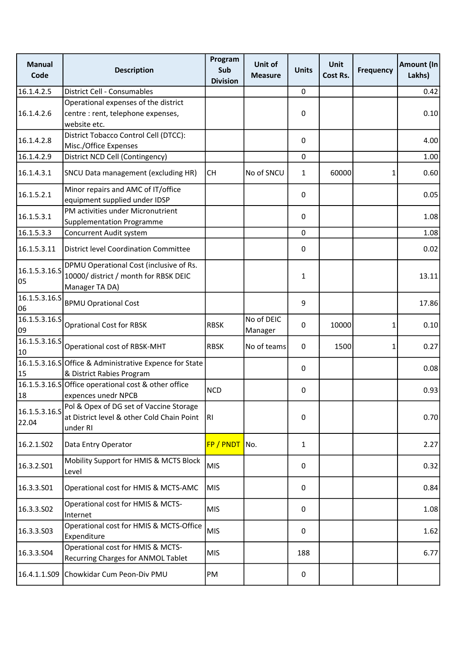| <b>Manual</b><br>Code            | <b>Description</b>                                                                                 | Program<br>Sub<br><b>Division</b> | Unit of<br><b>Measure</b> | <b>Units</b> | <b>Unit</b><br>Cost Rs. | <b>Frequency</b> | Amount (In<br>Lakhs) |
|----------------------------------|----------------------------------------------------------------------------------------------------|-----------------------------------|---------------------------|--------------|-------------------------|------------------|----------------------|
| 16.1.4.2.5                       | District Cell - Consumables                                                                        |                                   |                           | 0            |                         |                  | 0.42                 |
|                                  | Operational expenses of the district                                                               |                                   |                           |              |                         |                  |                      |
| 16.1.4.2.6                       | centre : rent, telephone expenses,                                                                 |                                   |                           | 0            |                         |                  | 0.10                 |
|                                  | website etc.                                                                                       |                                   |                           |              |                         |                  |                      |
| 16.1.4.2.8                       | District Tobacco Control Cell (DTCC):                                                              |                                   |                           | 0            |                         |                  | 4.00                 |
|                                  | Misc./Office Expenses                                                                              |                                   |                           |              |                         |                  |                      |
| 16.1.4.2.9                       | District NCD Cell (Contingency)                                                                    |                                   |                           | 0            |                         |                  | 1.00                 |
| 16.1.4.3.1                       | <b>SNCU Data management (excluding HR)</b>                                                         | <b>CH</b>                         | No of SNCU                | 1            | 60000                   | 1                | 0.60                 |
| 16.1.5.2.1                       | Minor repairs and AMC of IT/office<br>equipment supplied under IDSP                                |                                   |                           | 0            |                         |                  | 0.05                 |
| 16.1.5.3.1                       | PM activities under Micronutrient                                                                  |                                   |                           | 0            |                         |                  | 1.08                 |
|                                  | <b>Supplementation Programme</b>                                                                   |                                   |                           |              |                         |                  |                      |
| 16.1.5.3.3                       | Concurrent Audit system                                                                            |                                   |                           | 0            |                         |                  | 1.08                 |
| 16.1.5.3.11                      | <b>District level Coordination Committee</b>                                                       |                                   |                           | 0            |                         |                  | 0.02                 |
| 16.1.5.3.16.5<br>05              | DPMU Operational Cost (inclusive of Rs.<br>10000/ district / month for RBSK DEIC<br>Manager TA DA) |                                   |                           | 1            |                         |                  | 13.11                |
| 16.1.5.3.16.S<br>06              | <b>BPMU Oprational Cost</b>                                                                        |                                   |                           | 9            |                         |                  | 17.86                |
| 16.1.5.3.16.5<br>09              | <b>Oprational Cost for RBSK</b>                                                                    | <b>RBSK</b>                       | No of DEIC<br>Manager     | 0            | 10000                   | 1                | 0.10                 |
| $\overline{16.1.5.3.16.5}$<br>10 | Operational cost of RBSK-MHT                                                                       | <b>RBSK</b>                       | No of teams               | 0            | 1500                    | 1                | 0.27                 |
| 15                               | 16.1.5.3.16.SOffice & Administrative Expence for State<br>& District Rabies Program                |                                   |                           | 0            |                         |                  | 0.08                 |
| 18                               | 16.1.5.3.16.S Office operational cost & other office<br>expences unedr NPCB                        | <b>NCD</b>                        |                           | 0            |                         |                  | 0.93                 |
| 16.1.5.3.16.S<br>22.04           | Pol & Opex of DG set of Vaccine Storage<br>at District level & other Cold Chain Point<br>under RI  | R1                                |                           | 0            |                         |                  | 0.70                 |
| 16.2.1.S02                       | Data Entry Operator                                                                                | FP / PNDT No.                     |                           | $\mathbf{1}$ |                         |                  | 2.27                 |
| 16.3.2.S01                       | Mobility Support for HMIS & MCTS Block<br>Level                                                    | <b>MIS</b>                        |                           | 0            |                         |                  | 0.32                 |
| 16.3.3.501                       | Operational cost for HMIS & MCTS-AMC                                                               | <b>MIS</b>                        |                           | 0            |                         |                  | 0.84                 |
| 16.3.3.502                       | Operational cost for HMIS & MCTS-<br>Internet                                                      | <b>MIS</b>                        |                           | 0            |                         |                  | 1.08                 |
| 16.3.3.503                       | Operational cost for HMIS & MCTS-Office<br>Expenditure                                             | <b>MIS</b>                        |                           | 0            |                         |                  | 1.62                 |
| 16.3.3.504                       | Operational cost for HMIS & MCTS-<br>Recurring Charges for ANMOL Tablet                            | <b>MIS</b>                        |                           | 188          |                         |                  | 6.77                 |
| 16.4.1.1.S09                     | Chowkidar Cum Peon-Div PMU                                                                         | PM                                |                           | 0            |                         |                  |                      |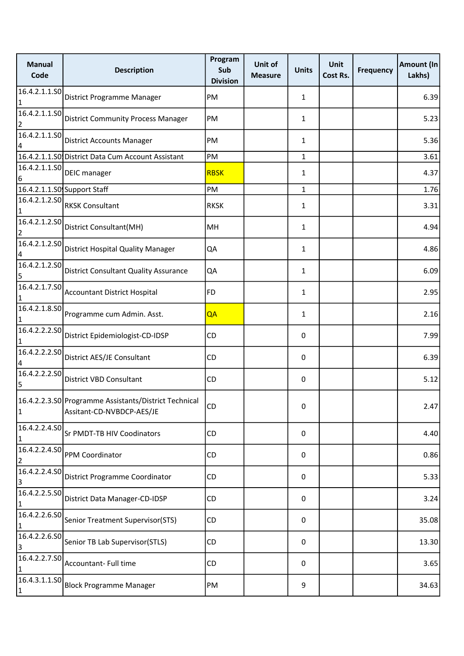| <b>Manual</b><br>Code           | <b>Description</b>                                                                 | Program<br>Sub<br><b>Division</b> | Unit of<br><b>Measure</b> | <b>Units</b> | <b>Unit</b><br>Cost Rs. | <b>Frequency</b> | Amount (In<br>Lakhs) |
|---------------------------------|------------------------------------------------------------------------------------|-----------------------------------|---------------------------|--------------|-------------------------|------------------|----------------------|
| 16.4.2.1.1.50<br>$\vert$ 1      | District Programme Manager                                                         | PM                                |                           | $\mathbf{1}$ |                         |                  | 6.39                 |
| 16.4.2.1.1.SO<br>2              | <b>District Community Process Manager</b>                                          | PM                                |                           | $\mathbf{1}$ |                         |                  | 5.23                 |
| 4                               | $\overline{\left  16.4.2.1.1.50 \right }$ District Accounts Manager                | PM                                |                           | $\mathbf{1}$ |                         |                  | 5.36                 |
|                                 | 16.4.2.1.1.SO District Data Cum Account Assistant                                  | PM                                |                           | $\mathbf{1}$ |                         |                  | 3.61                 |
| 6                               | $\frac{16.4}{16.4.2.1.1.50}$ DEIC manager                                          | <b>RBSK</b>                       |                           | $\mathbf{1}$ |                         |                  | 4.37                 |
|                                 | 16.4.2.1.1.SO Support Staff                                                        | PM                                |                           | $\mathbf{1}$ |                         |                  | 1.76                 |
| 1                               | $\overline{ 16.4.2.1.2.50 }$ RKSK Consultant                                       | <b>RKSK</b>                       |                           | $\mathbf{1}$ |                         |                  | 3.31                 |
| 16.4.2.1.2.50<br>$\overline{2}$ | District Consultant(MH)                                                            | MН                                |                           | 1            |                         |                  | 4.94                 |
| 16.4.2.1.2.50<br>4              | District Hospital Quality Manager                                                  | QA                                |                           | 1            |                         |                  | 4.86                 |
| 16.4.2.1.2.50<br>5              | <b>District Consultant Quality Assurance</b>                                       | QA                                |                           | 1            |                         |                  | 6.09                 |
| 16.4.2.1.7.50<br>1              | <b>Accountant District Hospital</b>                                                | FD                                |                           | $\mathbf{1}$ |                         |                  | 2.95                 |
|                                 | 16.4.2.1.8.S0 Programme cum Admin. Asst.                                           | QA                                |                           | 1            |                         |                  | 2.16                 |
| 16.4.2.2.2.SO<br>1              | District Epidemiologist-CD-IDSP                                                    | CD.                               |                           | 0            |                         |                  | 7.99                 |
| 16.4.2.2.2.50<br>4              | District AES/JE Consultant                                                         | CD                                |                           | 0            |                         |                  | 6.39                 |
| 16.4.2.2.2.50<br>5              | District VBD Consultant                                                            | <b>CD</b>                         |                           | 0            |                         |                  | 5.12                 |
| $\vert$ 1                       | 16.4.2.2.3.S0 Programme Assistants/District Technical<br>Assitant-CD-NVBDCP-AES/JE | <b>CD</b>                         |                           | 0            |                         |                  | 2.47                 |
| 16.4.2.2.4.50<br>1              | Sr PMDT-TB HIV Coodinators                                                         | <b>CD</b>                         |                           | 0            |                         |                  | 4.40                 |
| 2                               | $\overline{16.4.2.2.4.50}$ PPM Coordinator                                         | CD                                |                           | 0            |                         |                  | 0.86                 |
| 16.4.2.2.4.SO<br>3              | District Programme Coordinator                                                     | <b>CD</b>                         |                           | 0            |                         |                  | 5.33                 |
| 16.4.2.2.5.50<br>1              | District Data Manager-CD-IDSP                                                      | <b>CD</b>                         |                           | 0            |                         |                  | 3.24                 |
| 1                               | 16.4.2.2.6.S0 Senior Treatment Supervisor(STS)                                     | <b>CD</b>                         |                           | 0            |                         |                  | 35.08                |
| 16.4.2.2.6.SO<br>3              | Senior TB Lab Supervisor(STLS)                                                     | <b>CD</b>                         |                           | 0            |                         |                  | 13.30                |
| 16.4.2.2.7.50<br>1              | Accountant- Full time                                                              | <b>CD</b>                         |                           | 0            |                         |                  | 3.65                 |
| 16.4.3.1.1.SO<br>$\vert$ 1      | Block Programme Manager                                                            | PM                                |                           | 9            |                         |                  | 34.63                |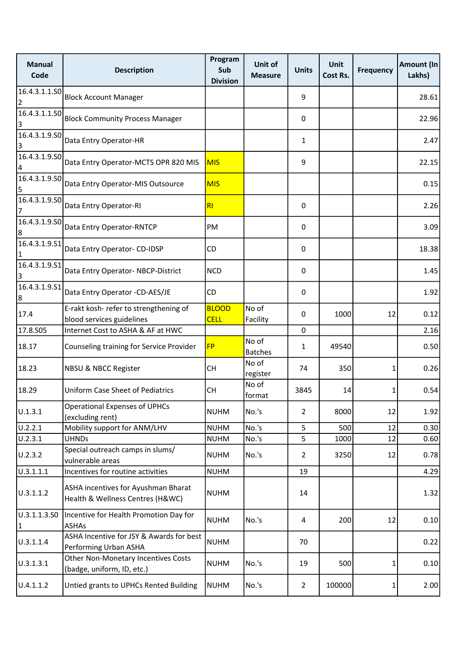| <b>Manual</b><br>Code           | <b>Description</b>                                                      | Program<br>Sub<br><b>Division</b> | Unit of<br><b>Measure</b> | <b>Units</b>   | <b>Unit</b><br>Cost Rs. | <b>Frequency</b> | Amount (In<br>Lakhs) |
|---------------------------------|-------------------------------------------------------------------------|-----------------------------------|---------------------------|----------------|-------------------------|------------------|----------------------|
| 16.4.3.1.1.SO<br>$\overline{2}$ | <b>Block Account Manager</b>                                            |                                   |                           | 9              |                         |                  | 28.61                |
| 16.4.3.1.1.SO<br>3              | <b>Block Community Process Manager</b>                                  |                                   |                           | 0              |                         |                  | 22.96                |
| 16.4.3.1.9.50<br>3              | Data Entry Operator-HR                                                  |                                   |                           | 1              |                         |                  | 2.47                 |
| 16.4.3.1.9.50<br>4              | Data Entry Operator-MCTS OPR 820 MIS                                    | <b>MIS</b>                        |                           | 9              |                         |                  | 22.15                |
| 16.4.3.1.9.SO<br>5              | Data Entry Operator-MIS Outsource                                       | <b>MIS</b>                        |                           |                |                         |                  | 0.15                 |
| 16.4.3.1.9.50<br>7              | Data Entry Operator-RI                                                  | RI                                |                           | 0              |                         |                  | 2.26                 |
| 16.4.3.1.9.50<br>8              | Data Entry Operator-RNTCP                                               | PM                                |                           | 0              |                         |                  | 3.09                 |
| 16.4.3.1.9.51<br>1              | Data Entry Operator- CD-IDSP                                            | CD                                |                           | 0              |                         |                  | 18.38                |
| 16.4.3.1.9.51<br>3              | Data Entry Operator-NBCP-District                                       | <b>NCD</b>                        |                           | 0              |                         |                  | 1.45                 |
| 16.4.3.1.9.51<br>8              | Data Entry Operator -CD-AES/JE                                          | CD                                |                           | 0              |                         |                  | 1.92                 |
| 17.4                            | E-rakt kosh- refer to strengthening of<br>blood services guidelines     | <b>BLOOD</b><br><b>CELL</b>       | No of<br>Facility         | 0              | 1000                    | 12               | 0.12                 |
| 17.8.S05                        | Internet Cost to ASHA & AF at HWC                                       |                                   |                           | 0              |                         |                  | 2.16                 |
| 18.17                           | Counseling training for Service Provider                                | <b>FP</b>                         | No of<br><b>Batches</b>   | 1              | 49540                   |                  | 0.50                 |
| 18.23                           | NBSU & NBCC Register                                                    | CH                                | No of<br>register         | 74             | 350                     | 1                | 0.26                 |
| 18.29                           | <b>Uniform Case Sheet of Pediatrics</b>                                 | CН                                | No of<br>format           | 3845           | 14                      | 1                | 0.54                 |
| U.1.3.1                         | <b>Operational Expenses of UPHCs</b><br>(excluding rent)                | <b>NUHM</b>                       | No.'s                     | $\overline{2}$ | 8000                    | 12               | 1.92                 |
| U.2.2.1                         | Mobility support for ANM/LHV                                            | <b>NUHM</b>                       | No.'s                     | 5              | 500                     | 12               | 0.30                 |
| U.2.3.1                         | <b>UHNDs</b>                                                            | <b>NUHM</b>                       | No.'s                     | 5              | 1000                    | 12               | 0.60                 |
| U.2.3.2                         | Special outreach camps in slums/<br>vulnerable areas                    | <b>NUHM</b>                       | No.'s                     | $\overline{2}$ | 3250                    | 12               | 0.78                 |
| U.3.1.1.1                       | Incentives for routine activities                                       | <b>NUHM</b>                       |                           | 19             |                         |                  | 4.29                 |
| U.3.1.1.2                       | ASHA incentives for Ayushman Bharat<br>Health & Wellness Centres (H&WC) | <b>NUHM</b>                       |                           | 14             |                         |                  | 1.32                 |
| U.3.1.1.3.SO<br>$\vert$ 1       | Incentive for Health Promotion Day for<br><b>ASHAs</b>                  | <b>NUHM</b>                       | No.'s                     | 4              | 200                     | 12               | 0.10                 |
| U.3.1.1.4                       | ASHA Incentive for JSY & Awards for best<br>Performing Urban ASHA       | <b>NUHM</b>                       |                           | 70             |                         |                  | 0.22                 |
| U.3.1.3.1                       | Other Non-Monetary Incentives Costs<br>(badge, uniform, ID, etc.)       | NUHM                              | No.'s                     | 19             | 500                     | 1                | 0.10                 |
| U.4.1.1.2                       | Untied grants to UPHCs Rented Building                                  | <b>NUHM</b>                       | No.'s                     | $\overline{2}$ | 100000                  | 1                | 2.00                 |